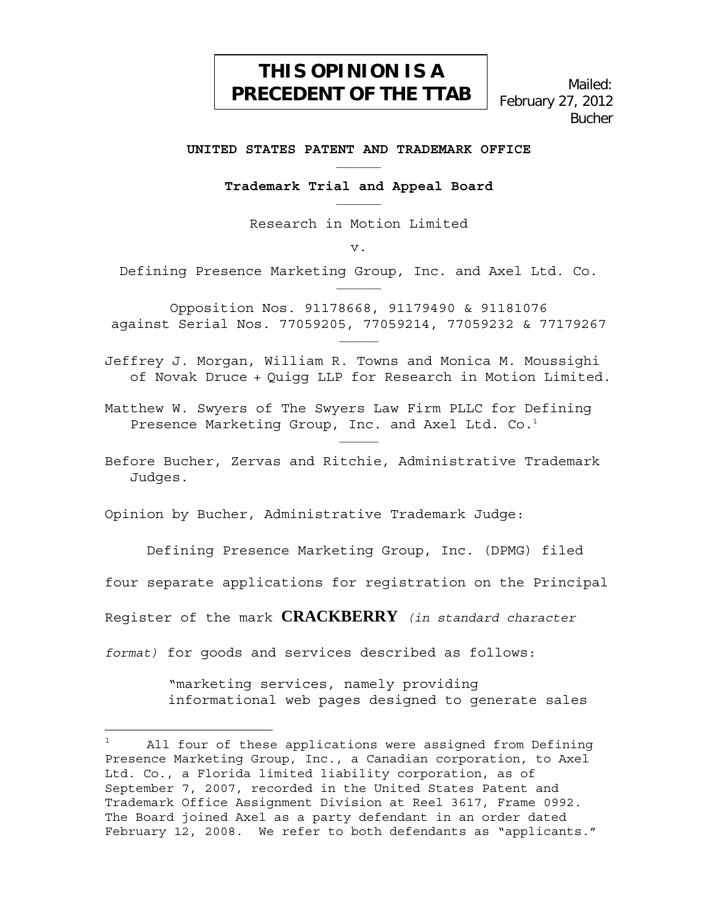# **THIS OPINION IS A PRECEDENT OF THE TTAB**

Mailed: February 27, 2012 Bucher

#### **UNITED STATES PATENT AND TRADEMARK OFFICE**

**Trademark Trial and Appeal Board** 

Research in Motion Limited

v.

Defining Presence Marketing Group, Inc. and Axel Ltd. Co.

Opposition Nos. 91178668, 91179490 & 91181076 against Serial Nos. 77059205, 77059214, 77059232 & 77179267 \_\_\_\_\_\_\_

Jeffrey J. Morgan, William R. Towns and Monica M. Moussighi of Novak Druce + Quigg LLP for Research in Motion Limited.

Matthew W. Swyers of The Swyers Law Firm PLLC for Defining Presence Marketing Group, Inc. and Axel Ltd. Co.<sup>1</sup>

Before Bucher, Zervas and Ritchie, Administrative Trademark Judges.

Opinion by Bucher, Administrative Trademark Judge:

Defining Presence Marketing Group, Inc. (DPMG) filed

four separate applications for registration on the Principal

Register of the mark **CRACKBERRY** *(in standard character* 

*format)* for goods and services described as follows:

i<br>L

"marketing services, namely providing informational web pages designed to generate sales

<sup>1</sup> All four of these applications were assigned from Defining Presence Marketing Group, Inc., a Canadian corporation, to Axel Ltd. Co., a Florida limited liability corporation, as of September 7, 2007, recorded in the United States Patent and Trademark Office Assignment Division at Reel 3617, Frame 0992. The Board joined Axel as a party defendant in an order dated February 12, 2008. We refer to both defendants as "applicants."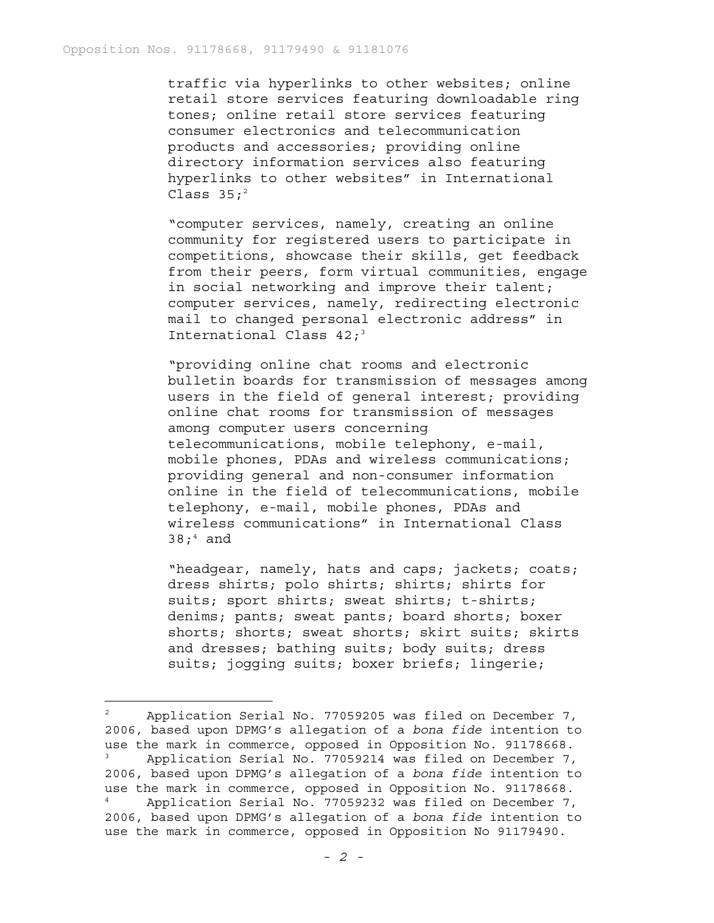traffic via hyperlinks to other websites; online retail store services featuring downloadable ring tones; online retail store services featuring consumer electronics and telecommunication products and accessories; providing online directory information services also featuring hyperlinks to other websites" in International Class  $35:$ <sup>2</sup>

"computer services, namely, creating an online community for registered users to participate in competitions, showcase their skills, get feedback from their peers, form virtual communities, engage in social networking and improve their talent; computer services, namely, redirecting electronic mail to changed personal electronic address" in International Class  $42;3$ 

"providing online chat rooms and electronic bulletin boards for transmission of messages among users in the field of general interest; providing online chat rooms for transmission of messages among computer users concerning telecommunications, mobile telephony, e-mail, mobile phones, PDAs and wireless communications; providing general and non-consumer information online in the field of telecommunications, mobile telephony, e-mail, mobile phones, PDAs and wireless communications" in International Class 38; $^4$  and

"headgear, namely, hats and caps; jackets; coats; dress shirts; polo shirts; shirts; shirts for suits; sport shirts; sweat shirts; t-shirts; denims; pants; sweat pants; board shorts; boxer shorts; shorts; sweat shorts; skirt suits; skirts and dresses; bathing suits; body suits; dress suits; jogging suits; boxer briefs; lingerie;

<sup>2</sup> Application Serial No. 77059205 was filed on December 7, 2006, based upon DPMG's allegation of a *bona fide* intention to use the mark in commerce, opposed in Opposition No. 91178668. 3 Application Serial No. 77059214 was filed on December 7, 2006, based upon DPMG's allegation of a *bona fide* intention to use the mark in commerce, opposed in Opposition No. 91178668. 4 Application Serial No. 77059232 was filed on December 7, 2006, based upon DPMG's allegation of a *bona fide* intention to use the mark in commerce, opposed in Opposition No 91179490.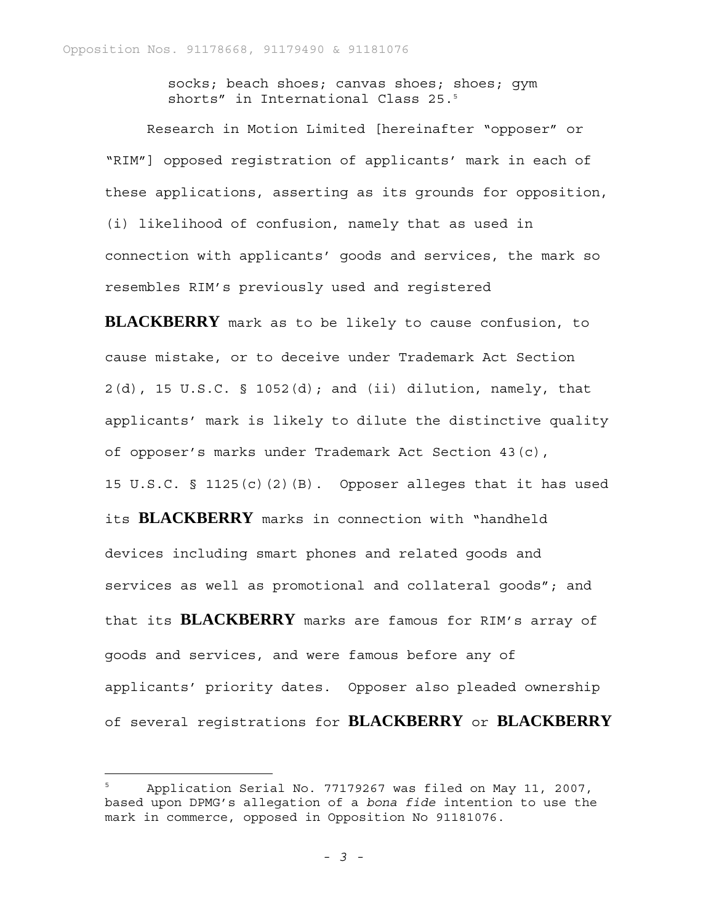socks; beach shoes; canvas shoes; shoes; gym shorts" in International Class 25.5

Research in Motion Limited [hereinafter "opposer" or "RIM"] opposed registration of applicants' mark in each of these applications, asserting as its grounds for opposition, (i) likelihood of confusion, namely that as used in connection with applicants' goods and services, the mark so resembles RIM's previously used and registered

**BLACKBERRY** mark as to be likely to cause confusion, to cause mistake, or to deceive under Trademark Act Section 2(d), 15 U.S.C. § 1052(d); and (ii) dilution, namely, that applicants' mark is likely to dilute the distinctive quality of opposer's marks under Trademark Act Section 43(c), 15 U.S.C. § 1125(c)(2)(B). Opposer alleges that it has used its **BLACKBERRY** marks in connection with "handheld devices including smart phones and related goods and services as well as promotional and collateral goods"; and that its **BLACKBERRY** marks are famous for RIM's array of goods and services, and were famous before any of applicants' priority dates. Opposer also pleaded ownership of several registrations for **BLACKBERRY** or **BLACKBERRY**

—<br>—

<sup>5</sup> Application Serial No. 77179267 was filed on May 11, 2007, based upon DPMG's allegation of a *bona fide* intention to use the mark in commerce, opposed in Opposition No 91181076.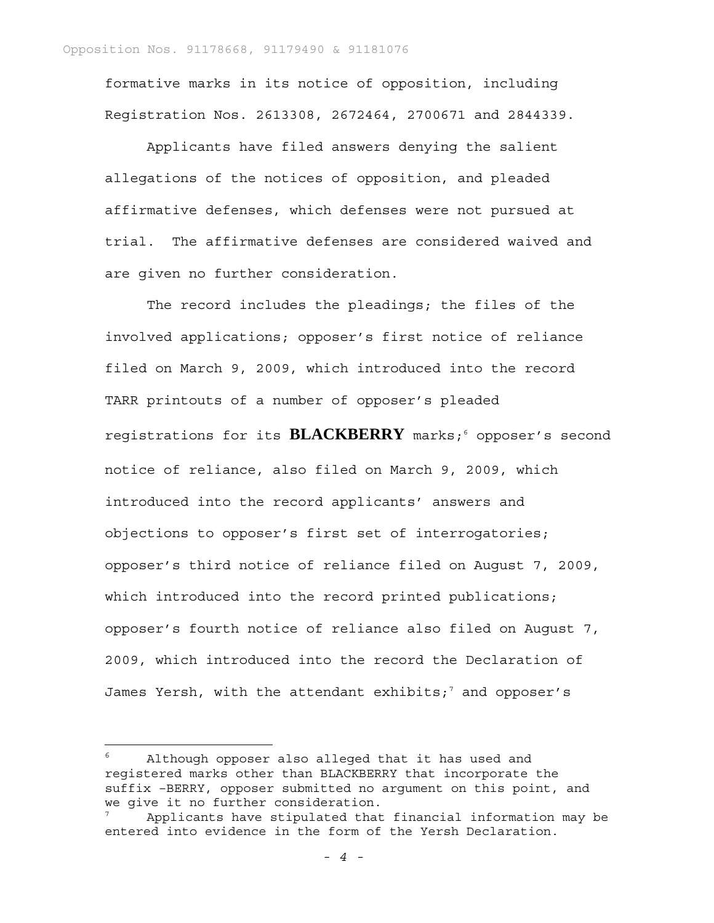formative marks in its notice of opposition, including Registration Nos. 2613308, 2672464, 2700671 and 2844339.

Applicants have filed answers denying the salient allegations of the notices of opposition, and pleaded affirmative defenses, which defenses were not pursued at trial. The affirmative defenses are considered waived and are given no further consideration.

The record includes the pleadings; the files of the involved applications; opposer's first notice of reliance filed on March 9, 2009, which introduced into the record TARR printouts of a number of opposer's pleaded registrations for its BLACKBERRY marks;<sup>6</sup> opposer's second notice of reliance, also filed on March 9, 2009, which introduced into the record applicants' answers and objections to opposer's first set of interrogatories; opposer's third notice of reliance filed on August 7, 2009, which introduced into the record printed publications; opposer's fourth notice of reliance also filed on August 7, 2009, which introduced into the record the Declaration of James Yersh, with the attendant exhibits;<sup>7</sup> and opposer's

<sup>6</sup> Although opposer also alleged that it has used and registered marks other than BLACKBERRY that incorporate the suffix –BERRY, opposer submitted no argument on this point, and we give it no further consideration.

<sup>7</sup> Applicants have stipulated that financial information may be entered into evidence in the form of the Yersh Declaration.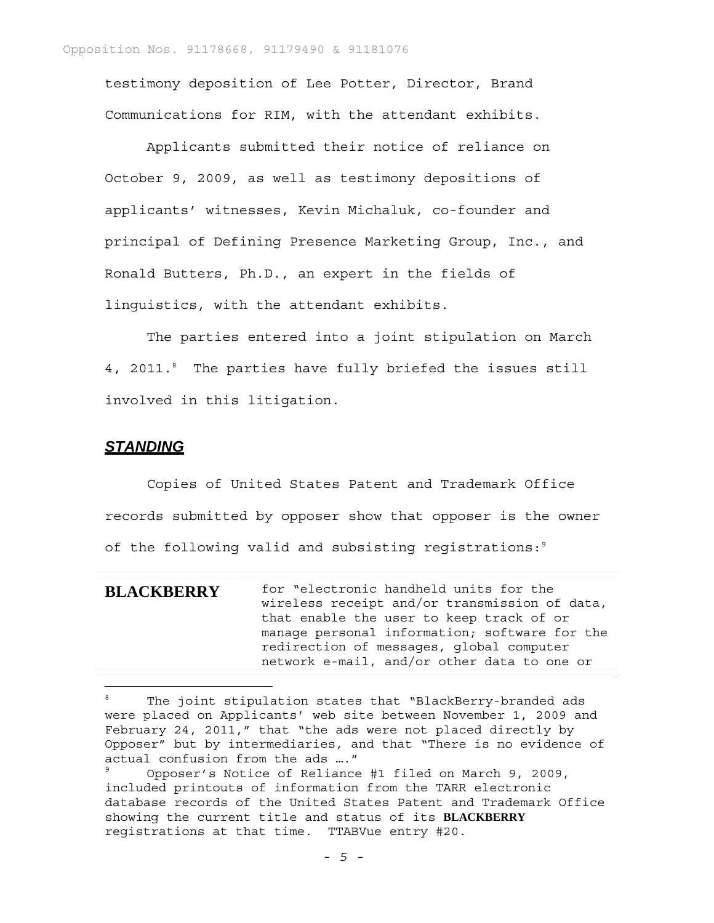testimony deposition of Lee Potter, Director, Brand Communications for RIM, with the attendant exhibits.

Applicants submitted their notice of reliance on October 9, 2009, as well as testimony depositions of applicants' witnesses, Kevin Michaluk, co-founder and principal of Defining Presence Marketing Group, Inc., and Ronald Butters, Ph.D., an expert in the fields of linguistics, with the attendant exhibits.

The parties entered into a joint stipulation on March 4, 2011.8 The parties have fully briefed the issues still involved in this litigation.

### *STANDING*

i<br>L

Copies of United States Patent and Trademark Office records submitted by opposer show that opposer is the owner of the following valid and subsisting registrations:<sup>9</sup>

**BLACKBERRY** for "electronic handheld units for the wireless receipt and/or transmission of data, that enable the user to keep track of or manage personal information; software for the redirection of messages, global computer network e-mail, and/or other data to one or

<sup>8</sup> The joint stipulation states that "BlackBerry-branded ads were placed on Applicants' web site between November 1, 2009 and February 24, 2011," that "the ads were not placed directly by Opposer" but by intermediaries, and that "There is no evidence of actual confusion from the ads …."

<sup>9</sup> Opposer's Notice of Reliance #1 filed on March 9, 2009, included printouts of information from the TARR electronic database records of the United States Patent and Trademark Office showing the current title and status of its **BLACKBERRY** registrations at that time. TTABVue entry #20.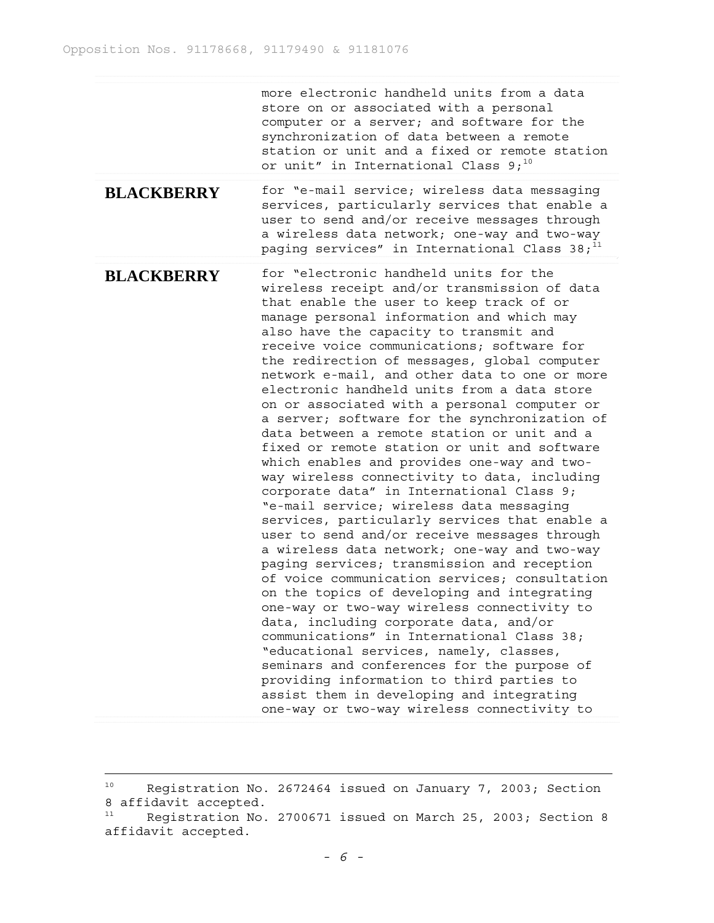more electronic handheld units from a data store on or associated with a personal computer or a server; and software for the synchronization of data between a remote station or unit and a fixed or remote station or unit" in International Class  $9;^{10}$ 

**BLACKBERRY** for "e-mail service; wireless data messaging services, particularly services that enable a user to send and/or receive messages through a wireless data network; one-way and two-way paging services" in International Class  $38;$ <sup>11</sup>

**BLACKBERRY** for "electronic handheld units for the wireless receipt and/or transmission of data that enable the user to keep track of or manage personal information and which may also have the capacity to transmit and receive voice communications; software for the redirection of messages, global computer network e-mail, and other data to one or more electronic handheld units from a data store on or associated with a personal computer or a server; software for the synchronization of data between a remote station or unit and a fixed or remote station or unit and software which enables and provides one-way and twoway wireless connectivity to data, including corporate data" in International Class 9; "e-mail service; wireless data messaging services, particularly services that enable a user to send and/or receive messages through a wireless data network; one-way and two-way paging services; transmission and reception of voice communication services; consultation on the topics of developing and integrating one-way or two-way wireless connectivity to data, including corporate data, and/or communications" in International Class 38; "educational services, namely, classes, seminars and conferences for the purpose of providing information to third parties to assist them in developing and integrating one-way or two-way wireless connectivity to

i<br>L

<sup>&</sup>lt;sup>10</sup> Registration No. 2672464 issued on January 7, 2003; Section 8 affidavit accepted.

<sup>&</sup>lt;sup>11</sup> Registration No. 2700671 issued on March 25, 2003; Section 8 affidavit accepted.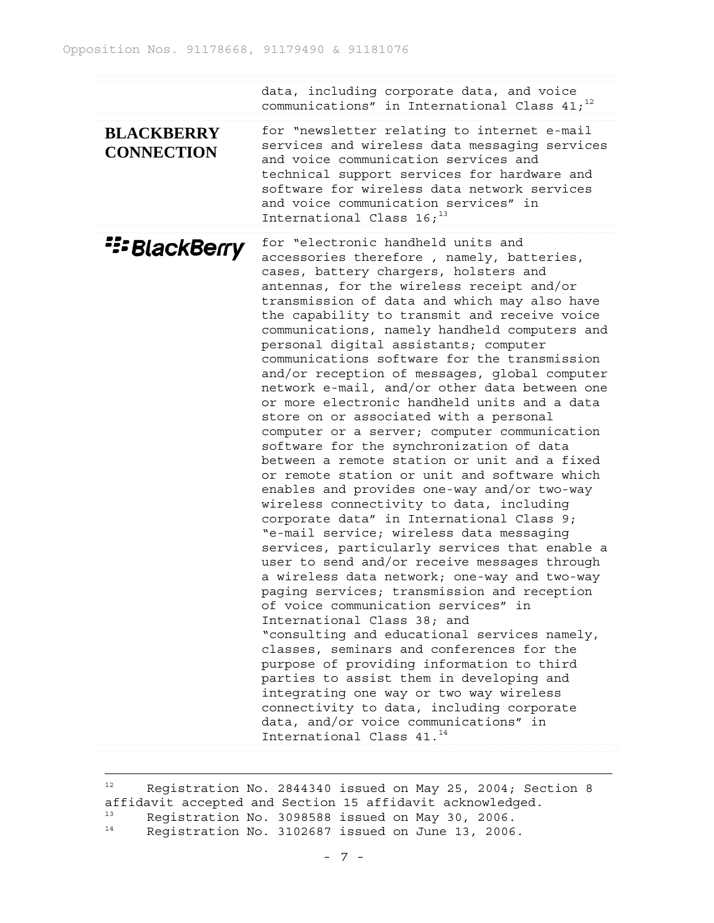data, including corporate data, and voice communications" in International Class  $41;^{12}$ 

**BLACKBERRY CONNECTION** for "newsletter relating to internet e-mail services and wireless data messaging services and voice communication services and technical support services for hardware and software for wireless data network services and voice communication services" in International Class  $16;$ <sup>13</sup>

*E: BlackBerry* for "electronic handheld units and accessories therefore , namely, batteries, cases, battery chargers, holsters and antennas, for the wireless receipt and/or transmission of data and which may also have the capability to transmit and receive voice communications, namely handheld computers and personal digital assistants; computer communications software for the transmission and/or reception of messages, global computer network e-mail, and/or other data between one or more electronic handheld units and a data store on or associated with a personal computer or a server; computer communication software for the synchronization of data between a remote station or unit and a fixed or remote station or unit and software which enables and provides one-way and/or two-way wireless connectivity to data, including corporate data" in International Class 9; "e-mail service; wireless data messaging services, particularly services that enable a user to send and/or receive messages through a wireless data network; one-way and two-way paging services; transmission and reception of voice communication services" in International Class 38; and "consulting and educational services namely, classes, seminars and conferences for the purpose of providing information to third parties to assist them in developing and integrating one way or two way wireless connectivity to data, including corporate data, and/or voice communications" in International Class 41.<sup>14</sup>

<sup>12</sup> Registration No. 2844340 issued on May 25, 2004; Section 8 affidavit accepted and Section 15 affidavit acknowledged. 13 Registration No. 3098588 issued on May 30, 2006. <sup>14</sup> Registration No. 3102687 issued on June 13, 2006.

i<br>L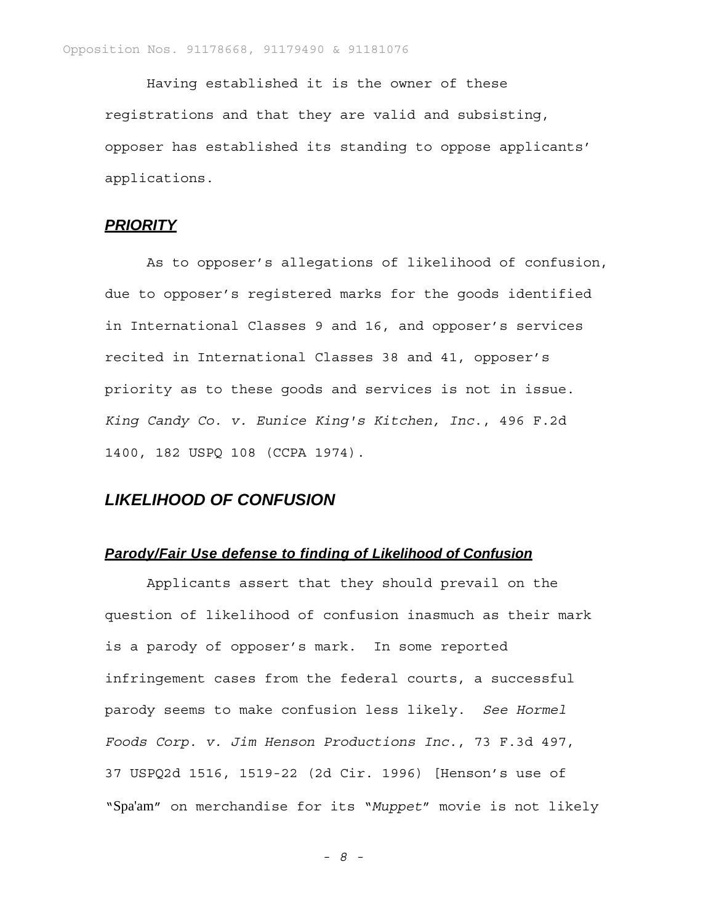Having established it is the owner of these registrations and that they are valid and subsisting, opposer has established its standing to oppose applicants' applications.

# *PRIORITY*

As to opposer's allegations of likelihood of confusion, due to opposer's registered marks for the goods identified in International Classes 9 and 16, and opposer's services recited in International Classes 38 and 41, opposer's priority as to these goods and services is not in issue. *King Candy Co. v. Eunice King's Kitchen, Inc*., 496 F.2d 1400, 182 USPQ 108 (CCPA 1974).

# *LIKELIHOOD OF CONFUSION*

# *Parody/Fair Use defense to finding of Likelihood of Confusion*

Applicants assert that they should prevail on the question of likelihood of confusion inasmuch as their mark is a parody of opposer's mark. In some reported infringement cases from the federal courts, a successful parody seems to make confusion less likely. *See Hormel Foods Corp. v. Jim Henson Productions Inc*., 73 F.3d 497, 37 USPQ2d 1516, 1519-22 (2d Cir. 1996) [Henson's use of "Spa'am" on merchandise for its "*Muppet*" movie is not likely

*- 8 -*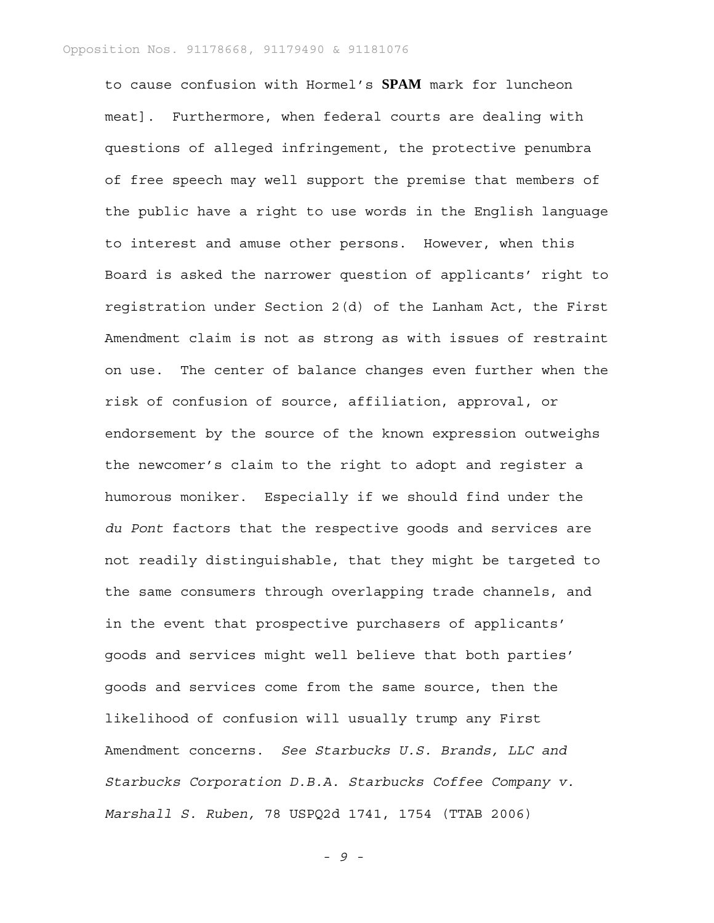to cause confusion with Hormel's **SPAM** mark for luncheon meat]. Furthermore, when federal courts are dealing with questions of alleged infringement, the protective penumbra of free speech may well support the premise that members of the public have a right to use words in the English language to interest and amuse other persons. However, when this Board is asked the narrower question of applicants' right to registration under Section 2(d) of the Lanham Act, the First Amendment claim is not as strong as with issues of restraint on use. The center of balance changes even further when the risk of confusion of source, affiliation, approval, or endorsement by the source of the known expression outweighs the newcomer's claim to the right to adopt and register a humorous moniker. Especially if we should find under the *du Pont* factors that the respective goods and services are not readily distinguishable, that they might be targeted to the same consumers through overlapping trade channels, and in the event that prospective purchasers of applicants' goods and services might well believe that both parties' goods and services come from the same source, then the likelihood of confusion will usually trump any First Amendment concerns. *See Starbucks U.S. Brands, LLC and Starbucks Corporation D.B.A. Starbucks Coffee Company v. Marshall S. Ruben,* 78 USPQ2d 1741, 1754 (TTAB 2006)

*- 9 -*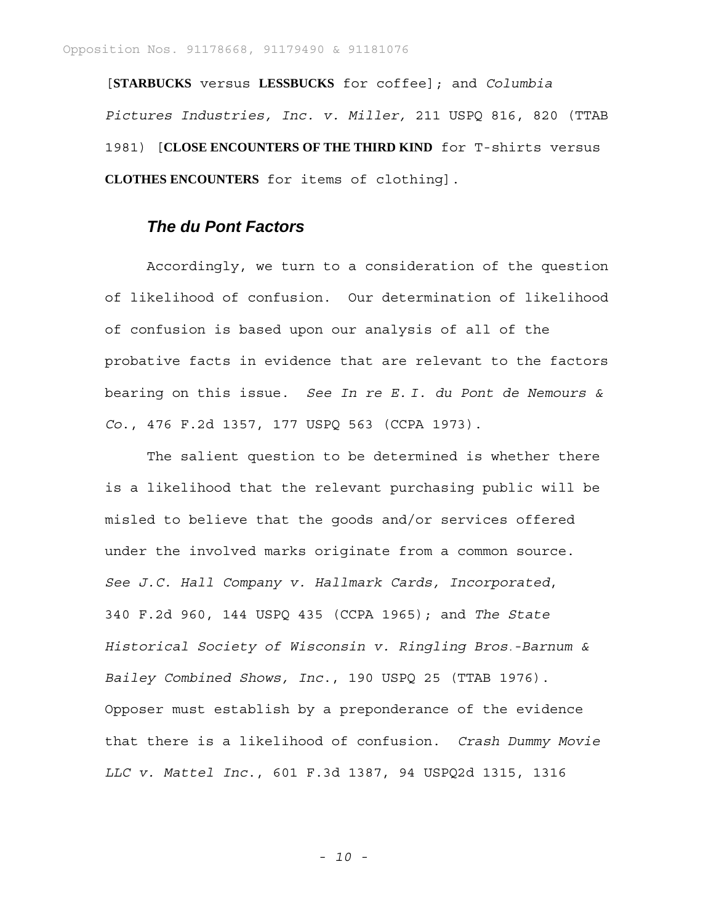[**STARBUCKS** versus **LESSBUCKS** for coffee]; and *Columbia Pictures Industries, Inc. v. Miller,* 211 USPQ 816, 820 (TTAB 1981) [**CLOSE ENCOUNTERS OF THE THIRD KIND** for T-shirts versus **CLOTHES ENCOUNTERS** for items of clothing].

# *The du Pont Factors*

Accordingly, we turn to a consideration of the question of likelihood of confusion. Our determination of likelihood of confusion is based upon our analysis of all of the probative facts in evidence that are relevant to the factors bearing on this issue. *See In re E. I. du Pont de Nemours & Co*., 476 F.2d 1357, 177 USPQ 563 (CCPA 1973).

The salient question to be determined is whether there is a likelihood that the relevant purchasing public will be misled to believe that the goods and/or services offered under the involved marks originate from a common source. *See J.C. Hall Company v. Hallmark Cards, Incorporated*, 340 F.2d 960, 144 USPQ 435 (CCPA 1965); and *The State Historical Society of Wisconsin v. Ringling Bros.-Barnum & Bailey Combined Shows, Inc*., 190 USPQ 25 (TTAB 1976). Opposer must establish by a preponderance of the evidence that there is a likelihood of confusion. *Crash Dummy Movie LLC v. Mattel Inc*., 601 F.3d 1387, 94 USPQ2d 1315, 1316

*- 10 -*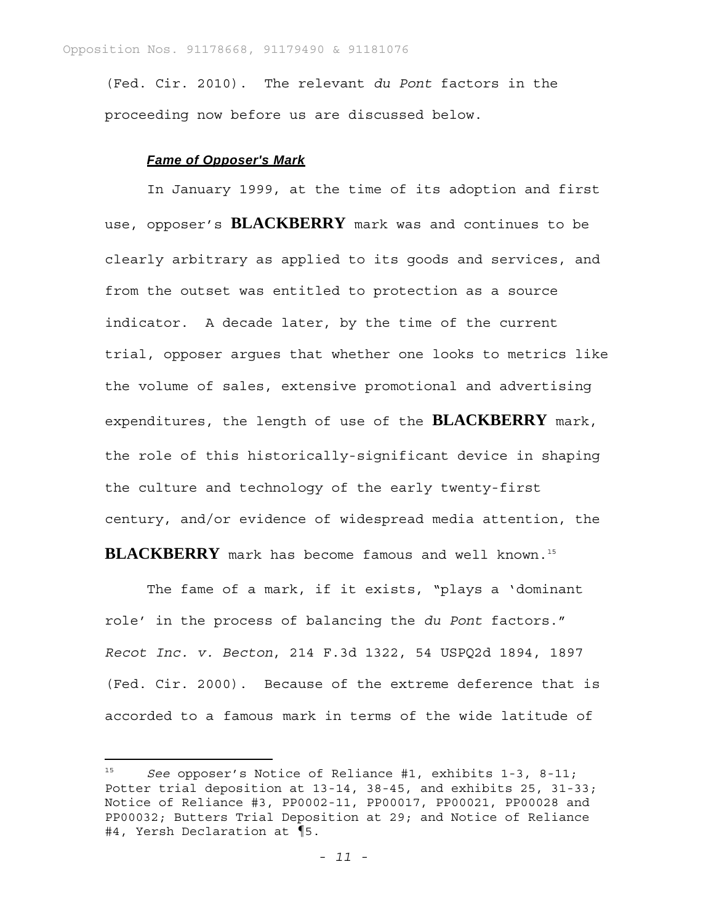(Fed. Cir. 2010). The relevant *du Pont* factors in the proceeding now before us are discussed below.

#### *Fame of Opposer's Mark*

In January 1999, at the time of its adoption and first use, opposer's **BLACKBERRY** mark was and continues to be clearly arbitrary as applied to its goods and services, and from the outset was entitled to protection as a source indicator. A decade later, by the time of the current trial, opposer argues that whether one looks to metrics like the volume of sales, extensive promotional and advertising expenditures, the length of use of the **BLACKBERRY** mark, the role of this historically-significant device in shaping the culture and technology of the early twenty-first century, and/or evidence of widespread media attention, the BLACKBERRY mark has become famous and well known.<sup>15</sup>

The fame of a mark, if it exists, "plays a 'dominant role' in the process of balancing the *du Pont* factors." *Recot Inc. v. Becton*, 214 F.3d 1322, 54 USPQ2d 1894, 1897 (Fed. Cir. 2000). Because of the extreme deference that is accorded to a famous mark in terms of the wide latitude of

<sup>15</sup> *See* opposer's Notice of Reliance #1, exhibits 1-3, 8-11; Potter trial deposition at 13-14, 38-45, and exhibits 25, 31-33; Notice of Reliance #3, PP0002-11, PP00017, PP00021, PP00028 and PP00032; Butters Trial Deposition at 29; and Notice of Reliance #4, Yersh Declaration at ¶5.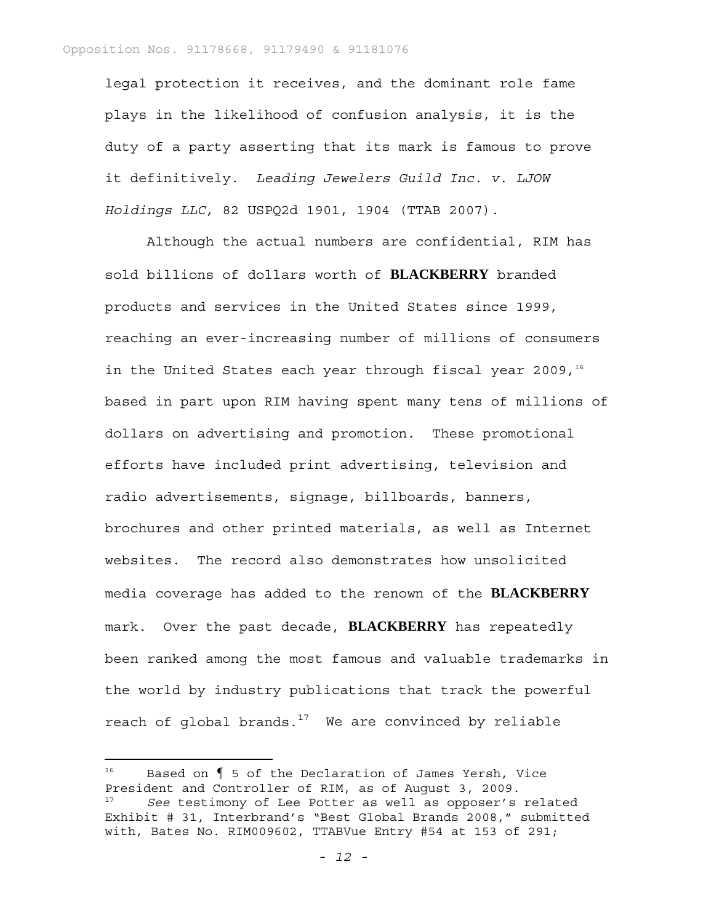legal protection it receives, and the dominant role fame plays in the likelihood of confusion analysis, it is the duty of a party asserting that its mark is famous to prove it definitively. *Leading Jewelers Guild Inc. v. LJOW Holdings LLC,* 82 USPQ2d 1901, 1904 (TTAB 2007).

Although the actual numbers are confidential, RIM has sold billions of dollars worth of **BLACKBERRY** branded products and services in the United States since 1999, reaching an ever-increasing number of millions of consumers in the United States each year through fiscal year 2009, $16$ based in part upon RIM having spent many tens of millions of dollars on advertising and promotion. These promotional efforts have included print advertising, television and radio advertisements, signage, billboards, banners, brochures and other printed materials, as well as Internet websites. The record also demonstrates how unsolicited media coverage has added to the renown of the **BLACKBERRY** mark. Over the past decade, **BLACKBERRY** has repeatedly been ranked among the most famous and valuable trademarks in the world by industry publications that track the powerful reach of global brands. $17$  We are convinced by reliable

<sup>16</sup> Based on ¶ 5 of the Declaration of James Yersh, Vice President and Controller of RIM, as of August 3, 2009. See testimony of Lee Potter as well as opposer's related Exhibit # 31, Interbrand's "Best Global Brands 2008," submitted with, Bates No. RIM009602, TTABVue Entry #54 at 153 of 291;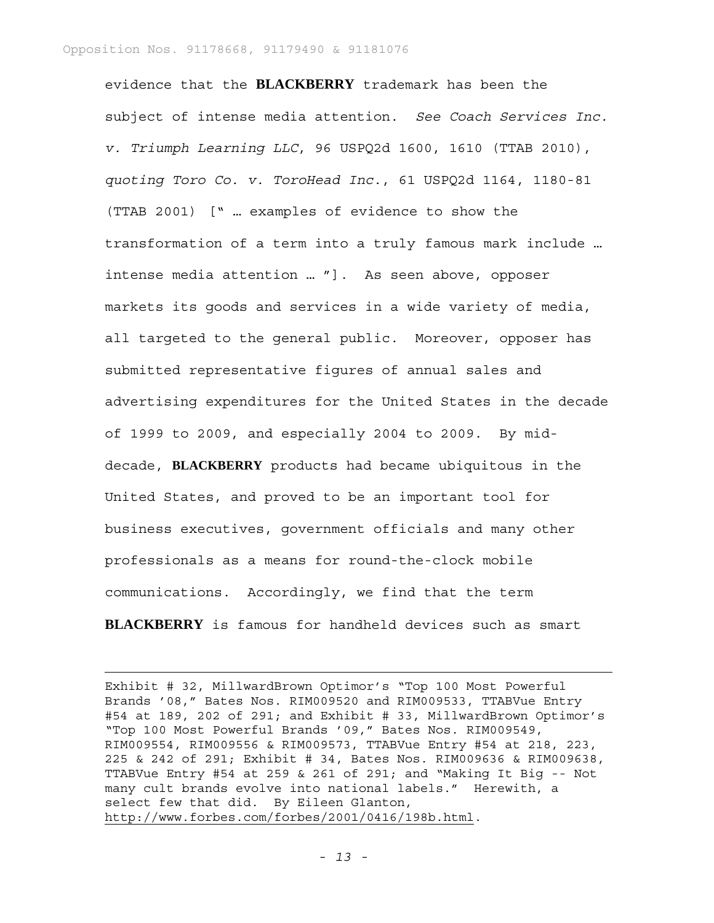i<br>L

evidence that the **BLACKBERRY** trademark has been the subject of intense media attention. *See Coach Services Inc. v. Triumph Learning LLC*, 96 USPQ2d 1600, 1610 (TTAB 2010), *quoting Toro Co. v. ToroHead Inc*., 61 USPQ2d 1164, 1180-81 (TTAB 2001) [" … examples of evidence to show the transformation of a term into a truly famous mark include … intense media attention … "]. As seen above, opposer markets its goods and services in a wide variety of media, all targeted to the general public. Moreover, opposer has submitted representative figures of annual sales and advertising expenditures for the United States in the decade of 1999 to 2009, and especially 2004 to 2009. By middecade, **BLACKBERRY** products had became ubiquitous in the United States, and proved to be an important tool for business executives, government officials and many other professionals as a means for round-the-clock mobile communications. Accordingly, we find that the term **BLACKBERRY** is famous for handheld devices such as smart

Exhibit # 32, MillwardBrown Optimor's "Top 100 Most Powerful Brands '08," Bates Nos. RIM009520 and RIM009533, TTABVue Entry #54 at 189, 202 of 291; and Exhibit # 33, MillwardBrown Optimor's "Top 100 Most Powerful Brands '09," Bates Nos. RIM009549, RIM009554, RIM009556 & RIM009573, TTABVue Entry #54 at 218, 223, 225 & 242 of 291; Exhibit # 34, Bates Nos. RIM009636 & RIM009638, TTABVue Entry #54 at 259 & 261 of 291; and "Making It Big -- Not many cult brands evolve into national labels." Herewith, a select few that did. By Eileen Glanton, http://www.forbes.com/forbes/2001/0416/198b.html.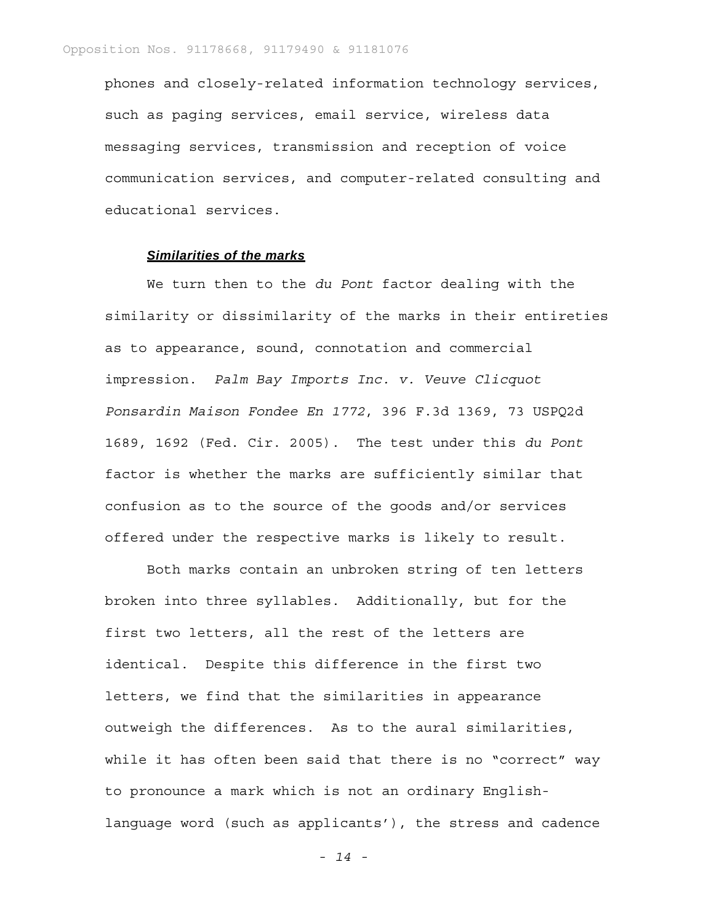phones and closely-related information technology services, such as paging services, email service, wireless data messaging services, transmission and reception of voice communication services, and computer-related consulting and educational services.

# *Similarities of the marks*

We turn then to the *du Pont* factor dealing with the similarity or dissimilarity of the marks in their entireties as to appearance, sound, connotation and commercial impression. *Palm Bay Imports Inc. v. Veuve Clicquot Ponsardin Maison Fondee En 1772*, 396 F.3d 1369, 73 USPQ2d 1689, 1692 (Fed. Cir. 2005). The test under this *du Pont*  factor is whether the marks are sufficiently similar that confusion as to the source of the goods and/or services offered under the respective marks is likely to result.

Both marks contain an unbroken string of ten letters broken into three syllables. Additionally, but for the first two letters, all the rest of the letters are identical. Despite this difference in the first two letters, we find that the similarities in appearance outweigh the differences. As to the aural similarities, while it has often been said that there is no "correct" way to pronounce a mark which is not an ordinary Englishlanguage word (such as applicants'), the stress and cadence

*- 14 -*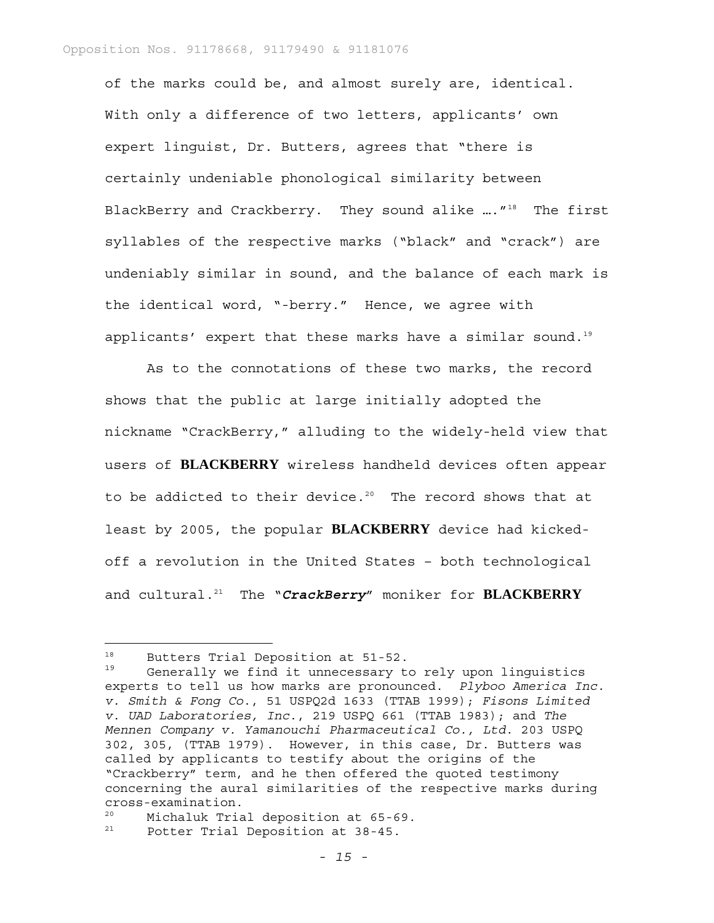of the marks could be, and almost surely are, identical. With only a difference of two letters, applicants' own expert linguist, Dr. Butters, agrees that "there is certainly undeniable phonological similarity between BlackBerry and Crackberry. They sound alike ...."<sup>18</sup> The first syllables of the respective marks ("black" and "crack") are undeniably similar in sound, and the balance of each mark is the identical word, "-berry." Hence, we agree with applicants' expert that these marks have a similar sound.<sup>19</sup>

As to the connotations of these two marks, the record shows that the public at large initially adopted the nickname "CrackBerry," alluding to the widely-held view that users of **BLACKBERRY** wireless handheld devices often appear to be addicted to their device.<sup>20</sup> The record shows that at least by 2005, the popular **BLACKBERRY** device had kickedoff a revolution in the United States – both technological and cultural.21 The "*CrackBerry*" moniker for **BLACKBERRY**

—<br>—

<sup>&</sup>lt;sup>18</sup> Butters Trial Deposition at 51-52.<br><sup>19</sup> Concrelly is find it unnoceased the

Generally we find it unnecessary to rely upon linguistics experts to tell us how marks are pronounced. *Plyboo America Inc. v. Smith & Fong Co*., 51 USPQ2d 1633 (TTAB 1999); *Fisons Limited v. UAD Laboratories, Inc*., 219 USPQ 661 (TTAB 1983); and *The Mennen Company v. Yamanouchi Pharmaceutical Co., Ltd*. 203 USPQ 302, 305, (TTAB 1979). However, in this case, Dr. Butters was called by applicants to testify about the origins of the "Crackberry" term, and he then offered the quoted testimony concerning the aural similarities of the respective marks during cross-examination.

<sup>20</sup> Michaluk Trial deposition at 65-69.

<sup>21</sup> Potter Trial Deposition at 38-45.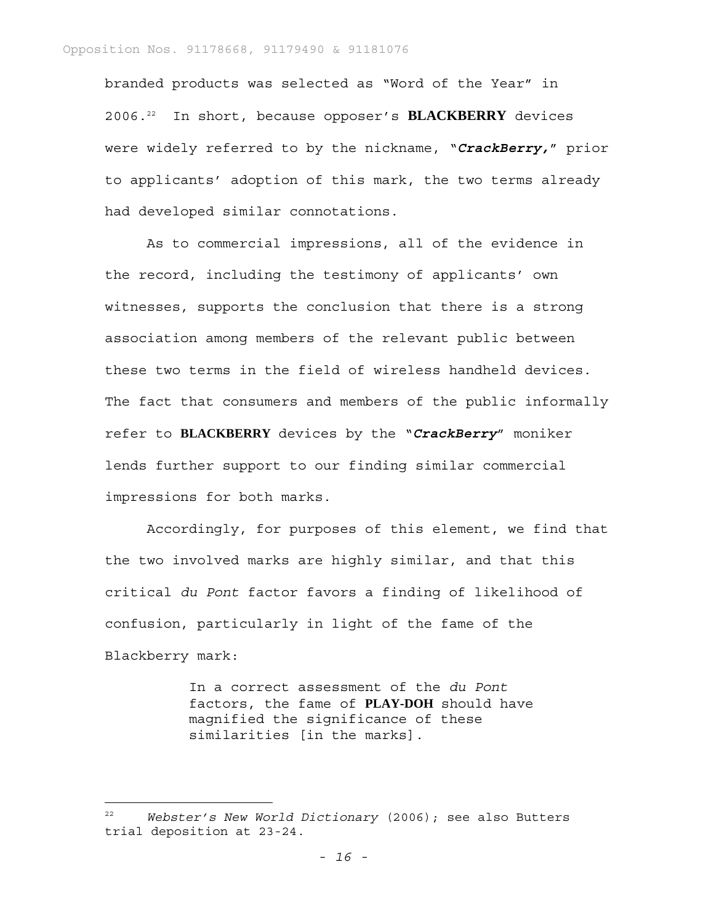branded products was selected as "Word of the Year" in 2006.22 In short, because opposer's **BLACKBERRY** devices were widely referred to by the nickname, "*CrackBerry,*" prior to applicants' adoption of this mark, the two terms already had developed similar connotations.

As to commercial impressions, all of the evidence in the record, including the testimony of applicants' own witnesses, supports the conclusion that there is a strong association among members of the relevant public between these two terms in the field of wireless handheld devices. The fact that consumers and members of the public informally refer to **BLACKBERRY** devices by the "*CrackBerry*" moniker lends further support to our finding similar commercial impressions for both marks.

Accordingly, for purposes of this element, we find that the two involved marks are highly similar, and that this critical *du Pont* factor favors a finding of likelihood of confusion, particularly in light of the fame of the Blackberry mark:

> In a correct assessment of the *du Pont*  factors, the fame of **PLAY-DOH** should have magnified the significance of these similarities [in the marks].

<sup>22</sup> *Webster's New World Dictionary* (2006); see also Butters trial deposition at 23-24.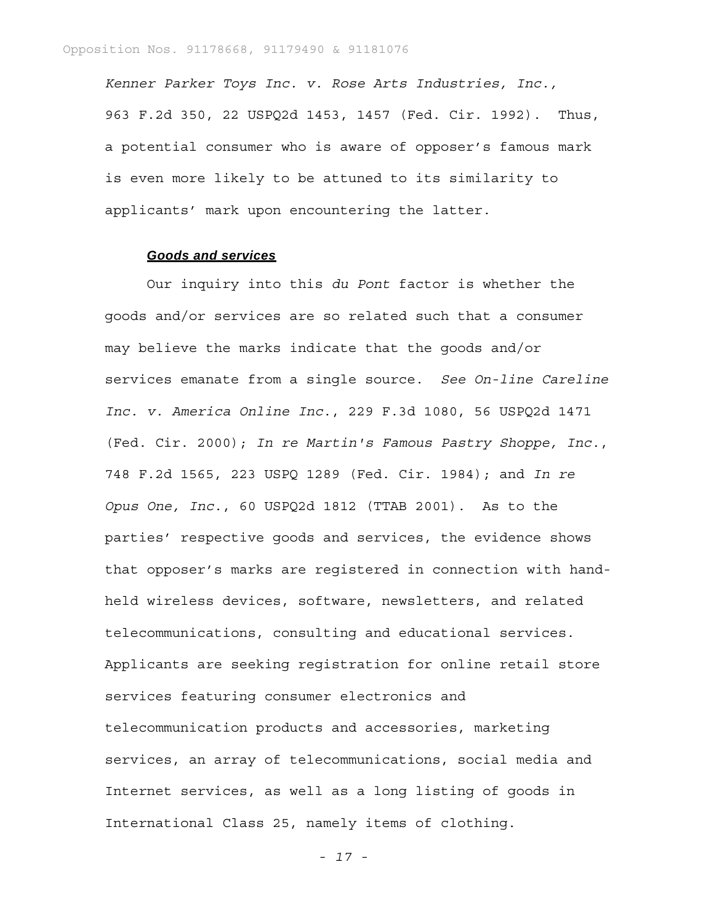*Kenner Parker Toys Inc. v. Rose Arts Industries, Inc.,*  963 F.2d 350, 22 USPQ2d 1453, 1457 (Fed. Cir. 1992). Thus, a potential consumer who is aware of opposer's famous mark is even more likely to be attuned to its similarity to applicants' mark upon encountering the latter.

#### *Goods and services*

Our inquiry into this *du Pont* factor is whether the goods and/or services are so related such that a consumer may believe the marks indicate that the goods and/or services emanate from a single source. *See On-line Careline Inc. v. America Online Inc*., 229 F.3d 1080, 56 USPQ2d 1471 (Fed. Cir. 2000); *In re Martin's Famous Pastry Shoppe, Inc.*, 748 F.2d 1565, 223 USPQ 1289 (Fed. Cir. 1984); and *In re Opus One, Inc.*, 60 USPQ2d 1812 (TTAB 2001). As to the parties' respective goods and services, the evidence shows that opposer's marks are registered in connection with handheld wireless devices, software, newsletters, and related telecommunications, consulting and educational services. Applicants are seeking registration for online retail store services featuring consumer electronics and telecommunication products and accessories, marketing services, an array of telecommunications, social media and Internet services, as well as a long listing of goods in International Class 25, namely items of clothing.

*- 17 -*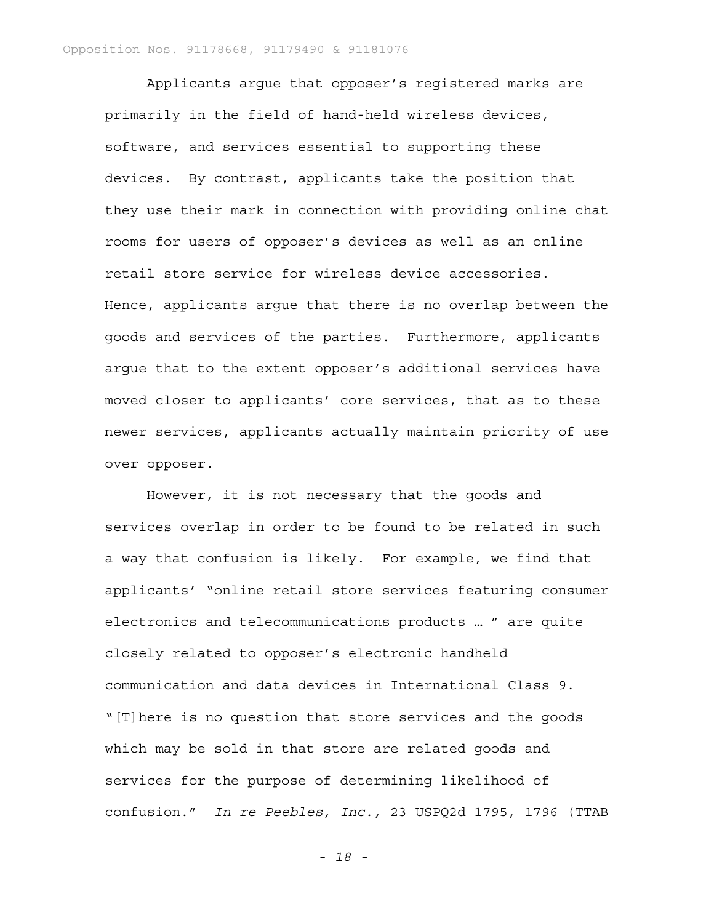Applicants argue that opposer's registered marks are primarily in the field of hand-held wireless devices, software, and services essential to supporting these devices. By contrast, applicants take the position that they use their mark in connection with providing online chat rooms for users of opposer's devices as well as an online retail store service for wireless device accessories. Hence, applicants argue that there is no overlap between the goods and services of the parties. Furthermore, applicants argue that to the extent opposer's additional services have moved closer to applicants' core services, that as to these newer services, applicants actually maintain priority of use over opposer.

However, it is not necessary that the goods and services overlap in order to be found to be related in such a way that confusion is likely. For example, we find that applicants' "online retail store services featuring consumer electronics and telecommunications products … " are quite closely related to opposer's electronic handheld communication and data devices in International Class 9. "[T]here is no question that store services and the goods which may be sold in that store are related goods and services for the purpose of determining likelihood of confusion." *In re Peebles, Inc.,* 23 USPQ2d 1795, 1796 (TTAB

*- 18 -*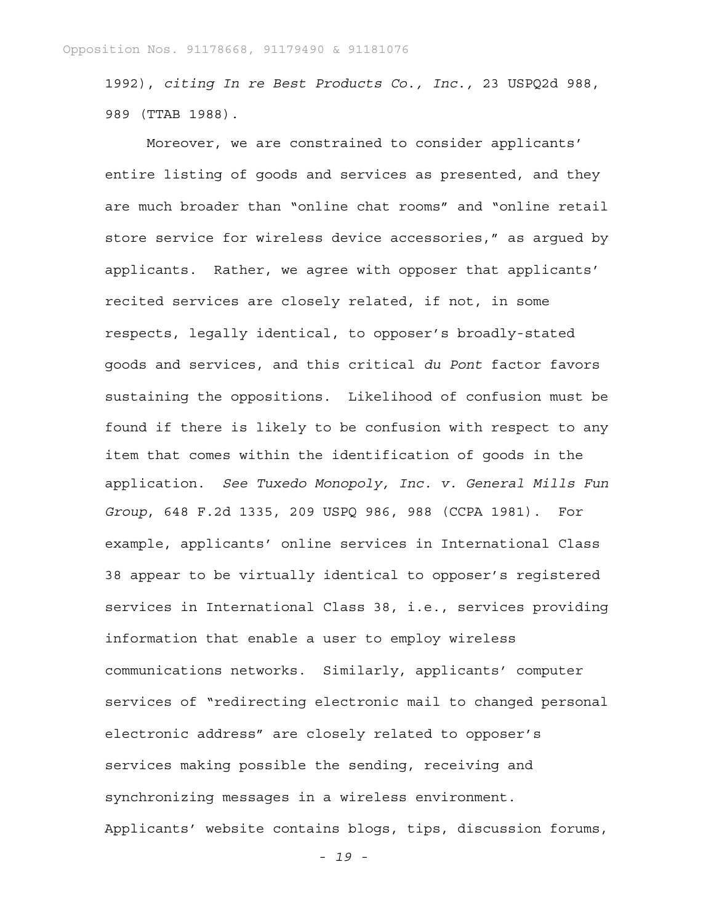1992), *citing In re Best Products Co., Inc.,* 23 USPQ2d 988, 989 (TTAB 1988).

Moreover, we are constrained to consider applicants' entire listing of goods and services as presented, and they are much broader than "online chat rooms" and "online retail store service for wireless device accessories," as argued by applicants. Rather, we agree with opposer that applicants' recited services are closely related, if not, in some respects, legally identical, to opposer's broadly-stated goods and services, and this critical *du Pont* factor favors sustaining the oppositions. Likelihood of confusion must be found if there is likely to be confusion with respect to any item that comes within the identification of goods in the application. *See Tuxedo Monopoly, Inc. v. General Mills Fun Group*, 648 F.2d 1335, 209 USPQ 986, 988 (CCPA 1981). For example, applicants' online services in International Class 38 appear to be virtually identical to opposer's registered services in International Class 38, i.e., services providing information that enable a user to employ wireless communications networks. Similarly, applicants' computer services of "redirecting electronic mail to changed personal electronic address" are closely related to opposer's services making possible the sending, receiving and synchronizing messages in a wireless environment. Applicants' website contains blogs, tips, discussion forums,

*- 19 -*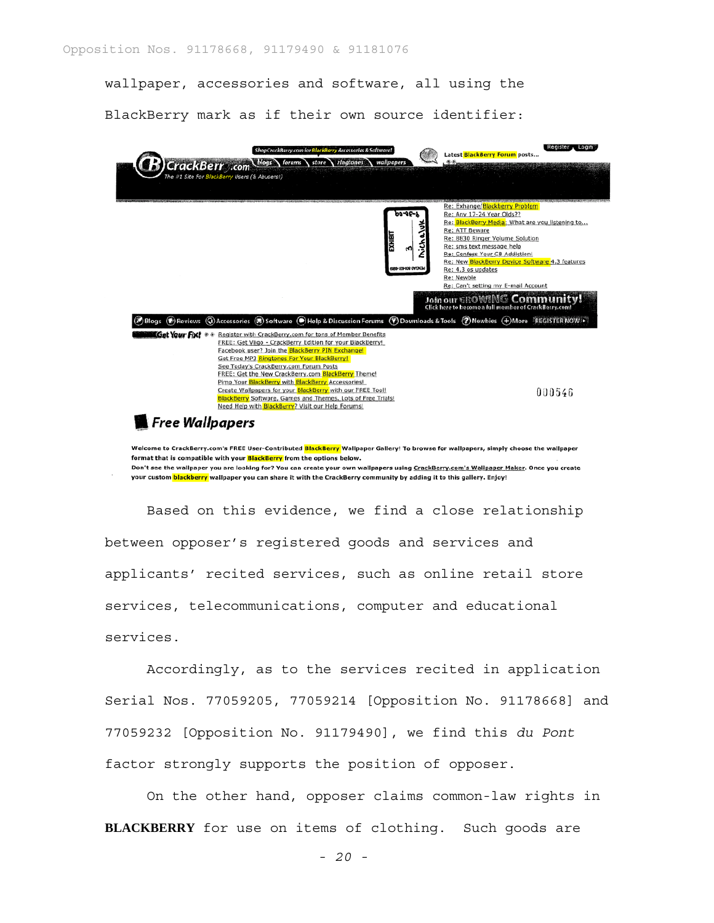wallpaper, accessories and software, all using the

BlackBerry mark as if their own source identifier:



Don't see the wallpaper you are looking for? You can create your own wallpapers using CrackBerry.com's Wallpaper Maker. Once you create your custom blackberry wallpaper you can share it with the CrackBerry community by adding it to this gallery. Enjoy!

Based on this evidence, we find a close relationship between opposer's registered goods and services and applicants' recited services, such as online retail store services, telecommunications, computer and educational services.

Accordingly, as to the services recited in application Serial Nos. 77059205, 77059214 [Opposition No. 91178668] and 77059232 [Opposition No. 91179490], we find this *du Pont* factor strongly supports the position of opposer.

On the other hand, opposer claims common-law rights in **BLACKBERRY** for use on items of clothing. Such goods are

*- 20 -*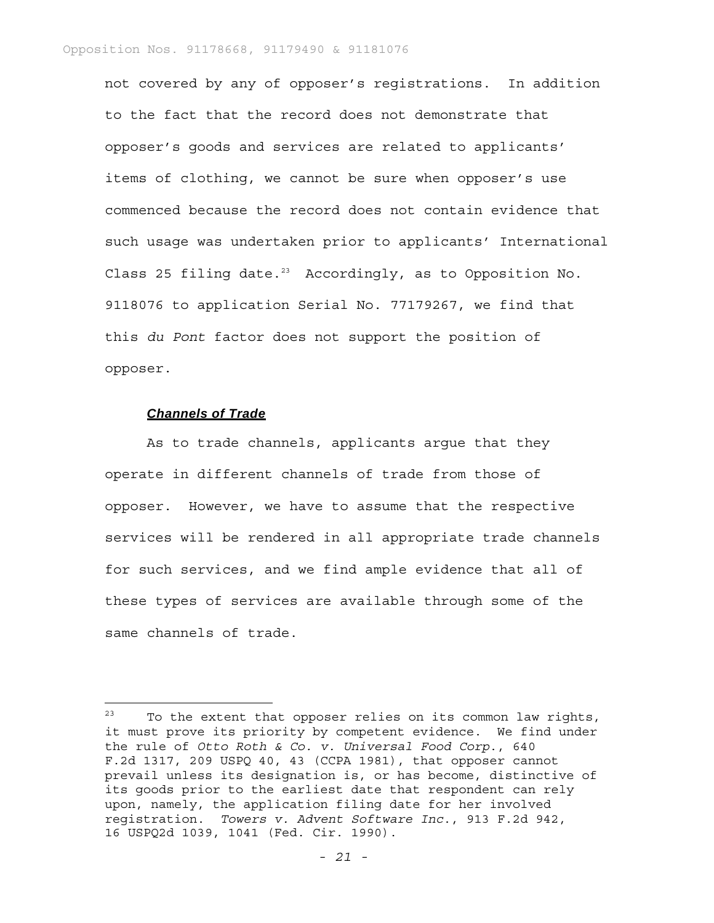not covered by any of opposer's registrations. In addition to the fact that the record does not demonstrate that opposer's goods and services are related to applicants' items of clothing, we cannot be sure when opposer's use commenced because the record does not contain evidence that such usage was undertaken prior to applicants' International Class 25 filing date.<sup>23</sup> Accordingly, as to Opposition No. 9118076 to application Serial No. 77179267, we find that this *du Pont* factor does not support the position of opposer.

#### *Channels of Trade*

As to trade channels, applicants argue that they operate in different channels of trade from those of opposer. However, we have to assume that the respective services will be rendered in all appropriate trade channels for such services, and we find ample evidence that all of these types of services are available through some of the same channels of trade.

 $23$  To the extent that opposer relies on its common law rights, it must prove its priority by competent evidence. We find under the rule of *Otto Roth & Co. v. Universal Food Corp*., 640 F.2d 1317, 209 USPQ 40, 43 (CCPA 1981), that opposer cannot prevail unless its designation is, or has become, distinctive of its goods prior to the earliest date that respondent can rely upon, namely, the application filing date for her involved registration. *Towers v. Advent Software Inc*., 913 F.2d 942, 16 USPQ2d 1039, 1041 (Fed. Cir. 1990).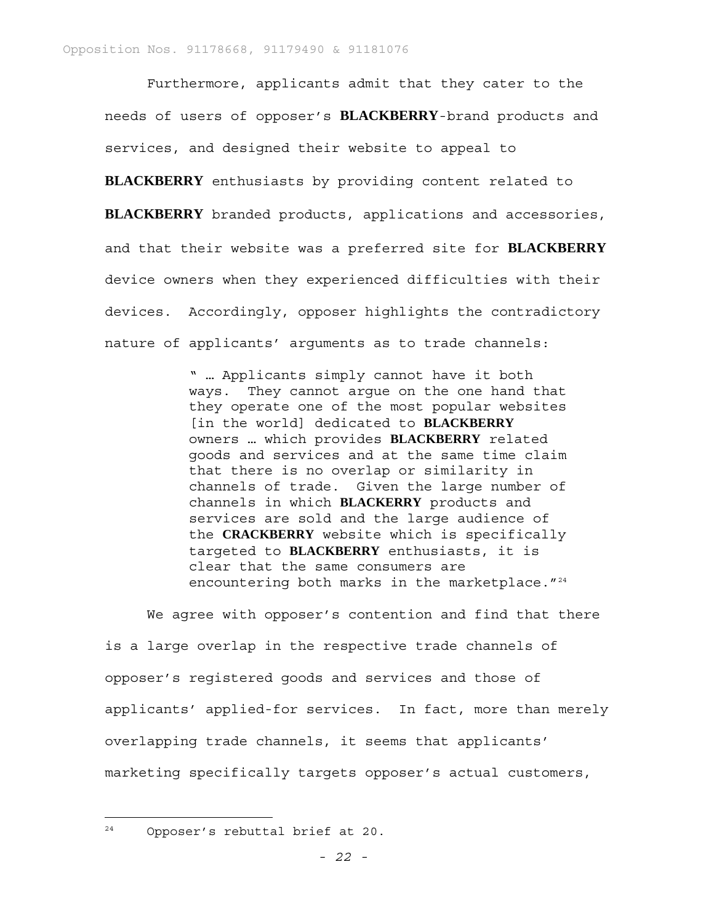Furthermore, applicants admit that they cater to the needs of users of opposer's **BLACKBERRY**-brand products and services, and designed their website to appeal to

**BLACKBERRY** enthusiasts by providing content related to **BLACKBERRY** branded products, applications and accessories,

and that their website was a preferred site for **BLACKBERRY** device owners when they experienced difficulties with their devices. Accordingly, opposer highlights the contradictory nature of applicants' arguments as to trade channels:

> " … Applicants simply cannot have it both ways. They cannot argue on the one hand that they operate one of the most popular websites [in the world] dedicated to **BLACKBERRY** owners … which provides **BLACKBERRY** related goods and services and at the same time claim that there is no overlap or similarity in channels of trade. Given the large number of channels in which **BLACKERRY** products and services are sold and the large audience of the **CRACKBERRY** website which is specifically targeted to **BLACKBERRY** enthusiasts, it is clear that the same consumers are encountering both marks in the marketplace. "<sup>24</sup>

We agree with opposer's contention and find that there is a large overlap in the respective trade channels of opposer's registered goods and services and those of applicants' applied-for services. In fact, more than merely overlapping trade channels, it seems that applicants' marketing specifically targets opposer's actual customers,

24 Opposer's rebuttal brief at 20.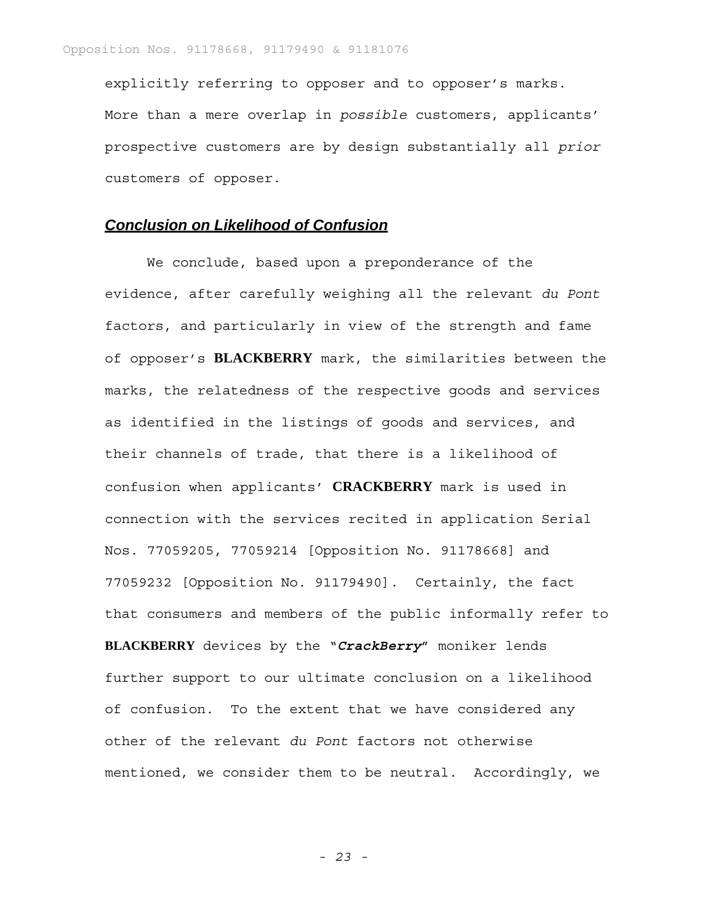explicitly referring to opposer and to opposer's marks. More than a mere overlap in *possible* customers, applicants' prospective customers are by design substantially all *prior* customers of opposer.

# *Conclusion on Likelihood of Confusion*

We conclude, based upon a preponderance of the evidence, after carefully weighing all the relevant *du Pont* factors, and particularly in view of the strength and fame of opposer's **BLACKBERRY** mark, the similarities between the marks, the relatedness of the respective goods and services as identified in the listings of goods and services, and their channels of trade, that there is a likelihood of confusion when applicants' **CRACKBERRY** mark is used in connection with the services recited in application Serial Nos. 77059205, 77059214 [Opposition No. 91178668] and 77059232 [Opposition No. 91179490]. Certainly, the fact that consumers and members of the public informally refer to **BLACKBERRY** devices by the "*CrackBerry*" moniker lends further support to our ultimate conclusion on a likelihood of confusion. To the extent that we have considered any other of the relevant *du Pont* factors not otherwise mentioned, we consider them to be neutral. Accordingly, we

*- 23 -*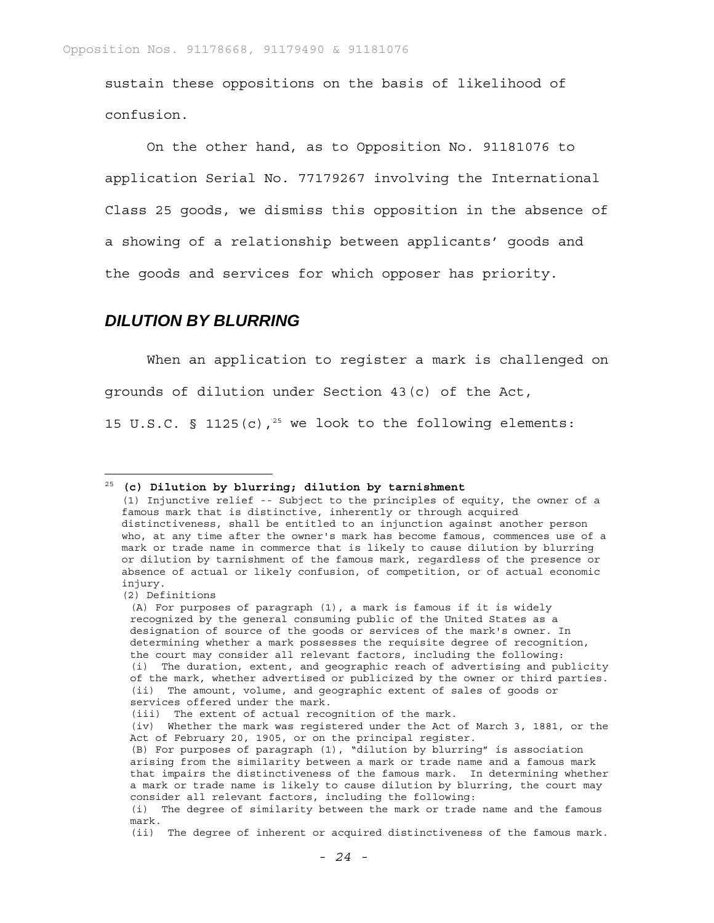sustain these oppositions on the basis of likelihood of confusion.

On the other hand, as to Opposition No. 91181076 to application Serial No. 77179267 involving the International Class 25 goods, we dismiss this opposition in the absence of a showing of a relationship between applicants' goods and the goods and services for which opposer has priority.

# *DILUTION BY BLURRING*

When an application to register a mark is challenged on grounds of dilution under Section 43(c) of the Act, 15 U.S.C. § 1125(c),<sup>25</sup> we look to the following elements:

(2) Definitions

i<br>L

<sup>25</sup> **(c) Dilution by blurring; dilution by tarnishment** 

<sup>(1)</sup> Injunctive relief -- Subject to the principles of equity, the owner of a famous mark that is distinctive, inherently or through acquired distinctiveness, shall be entitled to an injunction against another person who, at any time after the owner's mark has become famous, commences use of a mark or trade name in commerce that is likely to cause dilution by blurring or dilution by tarnishment of the famous mark, regardless of the presence or absence of actual or likely confusion, of competition, or of actual economic injury.

<sup>(</sup>A) For purposes of paragraph (1), a mark is famous if it is widely recognized by the general consuming public of the United States as a designation of source of the goods or services of the mark's owner. In determining whether a mark possesses the requisite degree of recognition, the court may consider all relevant factors, including the following: (i) The duration, extent, and geographic reach of advertising and publicity of the mark, whether advertised or publicized by the owner or third parties. (ii) The amount, volume, and geographic extent of sales of goods or services offered under the mark.

<sup>(</sup>iii) The extent of actual recognition of the mark.

<sup>(</sup>iv) Whether the mark was registered under the Act of March 3, 1881, or the Act of February 20, 1905, or on the principal register.

<sup>(</sup>B) For purposes of paragraph (1), "dilution by blurring" is association arising from the similarity between a mark or trade name and a famous mark that impairs the distinctiveness of the famous mark. In determining whether a mark or trade name is likely to cause dilution by blurring, the court may consider all relevant factors, including the following:

<sup>(</sup>i) The degree of similarity between the mark or trade name and the famous mark.

<sup>(</sup>ii) The degree of inherent or acquired distinctiveness of the famous mark.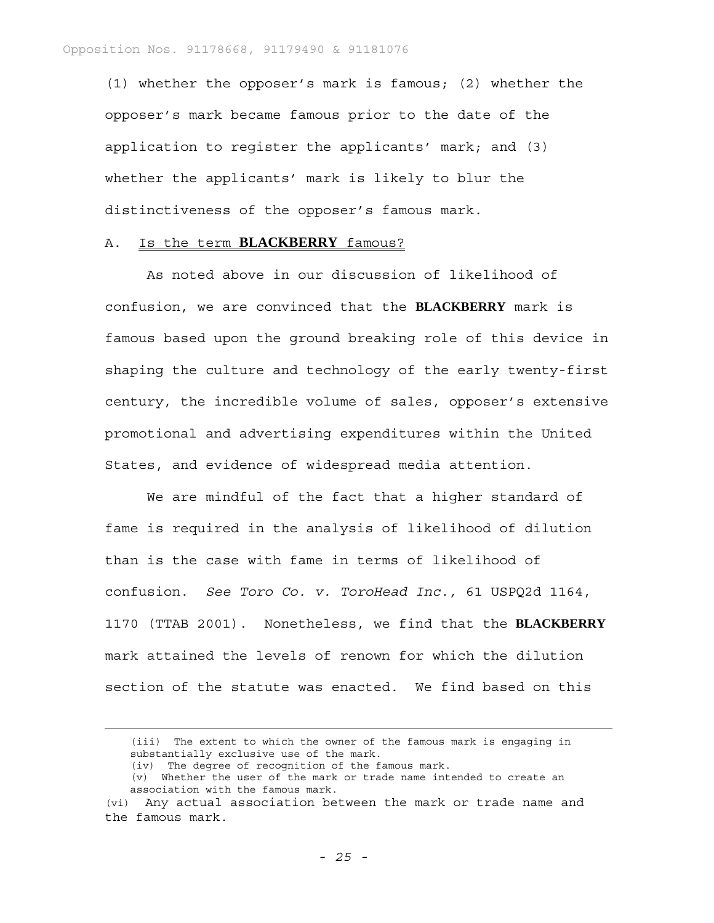(1) whether the opposer's mark is famous; (2) whether the opposer's mark became famous prior to the date of the application to register the applicants' mark; and (3) whether the applicants' mark is likely to blur the distinctiveness of the opposer's famous mark.

#### A. Is the term **BLACKBERRY** famous?

As noted above in our discussion of likelihood of confusion, we are convinced that the **BLACKBERRY** mark is famous based upon the ground breaking role of this device in shaping the culture and technology of the early twenty-first century, the incredible volume of sales, opposer's extensive promotional and advertising expenditures within the United States, and evidence of widespread media attention.

We are mindful of the fact that a higher standard of fame is required in the analysis of likelihood of dilution than is the case with fame in terms of likelihood of confusion. *See Toro Co. v. ToroHead Inc.,* 61 USPQ2d 1164, 1170 (TTAB 2001). Nonetheless, we find that the **BLACKBERRY** mark attained the levels of renown for which the dilution section of the statute was enacted. We find based on this

 <sup>(</sup>iii) The extent to which the owner of the famous mark is engaging in substantially exclusive use of the mark.

<sup>(</sup>iv) The degree of recognition of the famous mark.

<sup>(</sup>v) Whether the user of the mark or trade name intended to create an association with the famous mark.

<sup>(</sup>vi) Any actual association between the mark or trade name and the famous mark.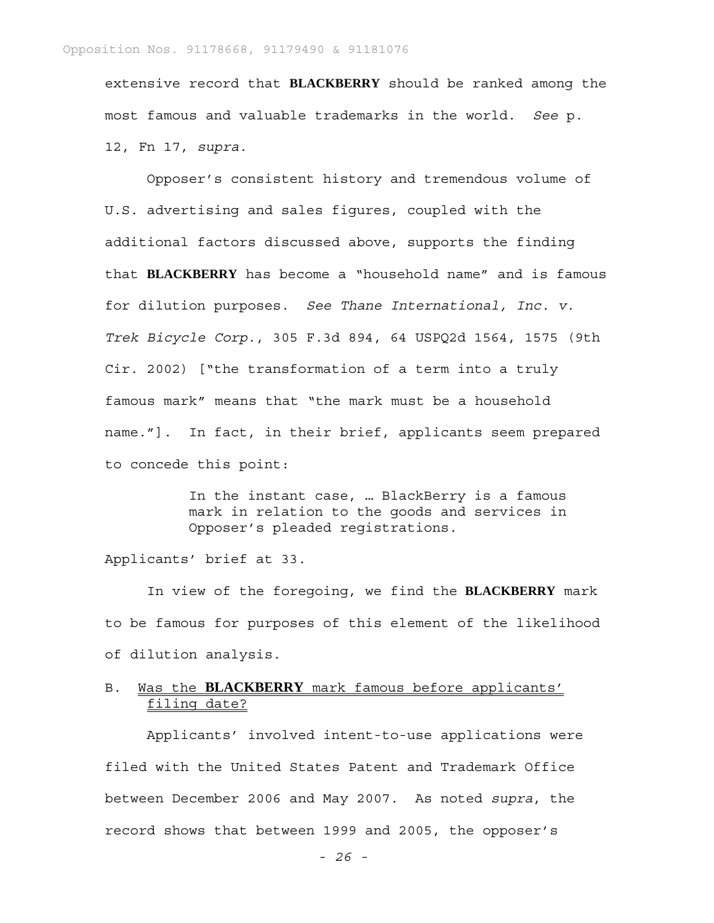extensive record that **BLACKBERRY** should be ranked among the most famous and valuable trademarks in the world. *See* p. 12, Fn 17, *supra*.

Opposer's consistent history and tremendous volume of U.S. advertising and sales figures, coupled with the additional factors discussed above, supports the finding that **BLACKBERRY** has become a "household name" and is famous for dilution purposes. *See Thane International, Inc. v. Trek Bicycle Corp*., 305 F.3d 894, 64 USPQ2d 1564, 1575 (9th Cir. 2002) ["the transformation of a term into a truly famous mark" means that "the mark must be a household name."]. In fact, in their brief, applicants seem prepared to concede this point:

> In the instant case, … BlackBerry is a famous mark in relation to the goods and services in Opposer's pleaded registrations.

Applicants' brief at 33.

In view of the foregoing, we find the **BLACKBERRY** mark to be famous for purposes of this element of the likelihood of dilution analysis.

### B. Was the **BLACKBERRY** mark famous before applicants' filing date?

Applicants' involved intent-to-use applications were filed with the United States Patent and Trademark Office between December 2006 and May 2007. As noted *supra*, the record shows that between 1999 and 2005, the opposer's

*- 26 -*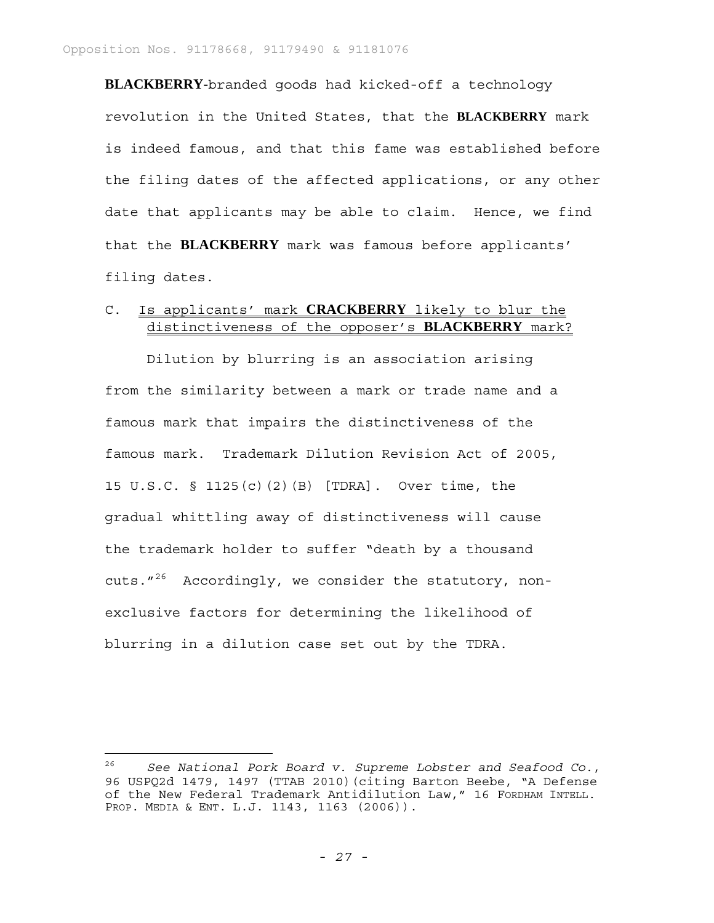**BLACKBERRY-**branded goods had kicked-off a technology revolution in the United States, that the **BLACKBERRY** mark is indeed famous, and that this fame was established before the filing dates of the affected applications, or any other date that applicants may be able to claim. Hence, we find that the **BLACKBERRY** mark was famous before applicants' filing dates.

### C. Is applicants' mark **CRACKBERRY** likely to blur the distinctiveness of the opposer's **BLACKBERRY** mark?

Dilution by blurring is an association arising from the similarity between a mark or trade name and a famous mark that impairs the distinctiveness of the famous mark. Trademark Dilution Revision Act of 2005, 15 U.S.C. § 1125(c)(2)(B) [TDRA]. Over time, the gradual whittling away of distinctiveness will cause the trademark holder to suffer "death by a thousand cuts. $1^{26}$  Accordingly, we consider the statutory, nonexclusive factors for determining the likelihood of blurring in a dilution case set out by the TDRA.

i<br>L

<sup>26</sup> *See National Pork Board v. Supreme Lobster and Seafood Co.*, 96 USPQ2d 1479, 1497 (TTAB 2010)(citing Barton Beebe, "A Defense of the New Federal Trademark Antidilution Law," 16 FORDHAM INTELL. PROP. MEDIA & ENT. L.J. 1143, 1163 (2006)).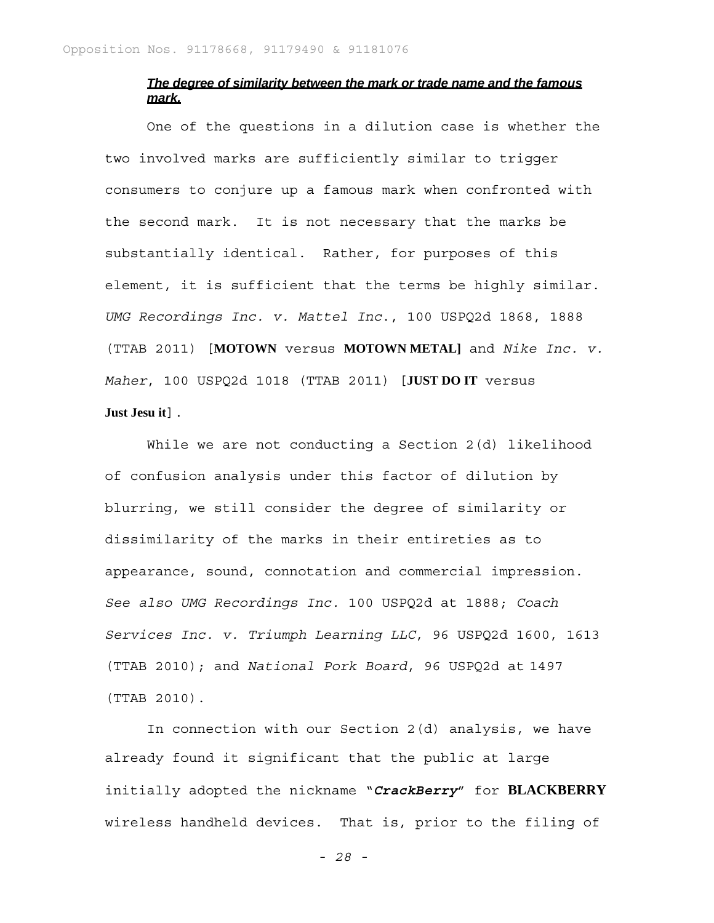### *The degree of similarity between the mark or trade name and the famous mark.*

One of the questions in a dilution case is whether the two involved marks are sufficiently similar to trigger consumers to conjure up a famous mark when confronted with the second mark. It is not necessary that the marks be substantially identical. Rather, for purposes of this element, it is sufficient that the terms be highly similar. *UMG Recordings Inc. v. Mattel Inc*., 100 USPQ2d 1868, 1888 (TTAB 2011) [**MOTOWN** versus **MOTOWN METAL]** and *Nike Inc. v. Maher*, 100 USPQ2d 1018 (TTAB 2011) [**JUST DO IT** versus **Just Jesu it**].

While we are not conducting a Section 2(d) likelihood of confusion analysis under this factor of dilution by blurring, we still consider the degree of similarity or dissimilarity of the marks in their entireties as to appearance, sound, connotation and commercial impression. *See also UMG Recordings Inc.* 100 USPQ2d at 1888; *Coach Services Inc. v. Triumph Learning LLC*, 96 USPQ2d 1600, 1613 (TTAB 2010); and *National Pork Board*, 96 USPQ2d at 1497 (TTAB 2010).

In connection with our Section 2(d) analysis, we have already found it significant that the public at large initially adopted the nickname "*CrackBerry*" for **BLACKBERRY** wireless handheld devices. That is, prior to the filing of

*- 28 -*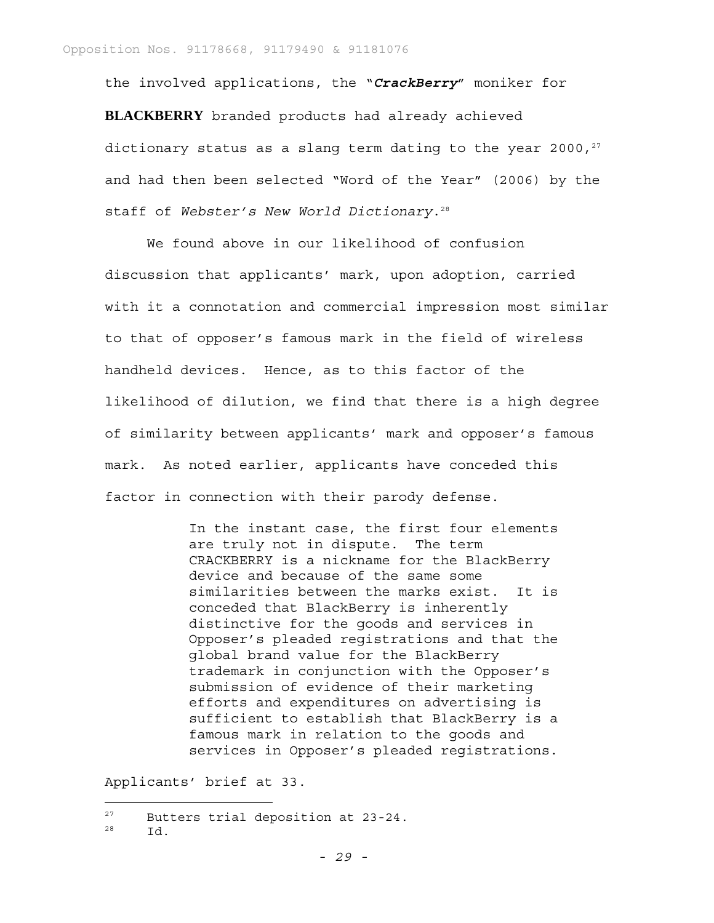the involved applications, the "*CrackBerry*" moniker for **BLACKBERRY** branded products had already achieved dictionary status as a slang term dating to the year 2000, $27$ and had then been selected "Word of the Year" (2006) by the staff of Webster's New World Dictionary.<sup>28</sup>

We found above in our likelihood of confusion discussion that applicants' mark, upon adoption, carried with it a connotation and commercial impression most similar to that of opposer's famous mark in the field of wireless handheld devices. Hence, as to this factor of the likelihood of dilution, we find that there is a high degree of similarity between applicants' mark and opposer's famous mark. As noted earlier, applicants have conceded this factor in connection with their parody defense.

> In the instant case, the first four elements are truly not in dispute. The term CRACKBERRY is a nickname for the BlackBerry device and because of the same some similarities between the marks exist. It is conceded that BlackBerry is inherently distinctive for the goods and services in Opposer's pleaded registrations and that the global brand value for the BlackBerry trademark in conjunction with the Opposer's submission of evidence of their marketing efforts and expenditures on advertising is sufficient to establish that BlackBerry is a famous mark in relation to the goods and services in Opposer's pleaded registrations.

Applicants' brief at 33.

27 Butters trial deposition at 23-24.

 $^{28}$  Id.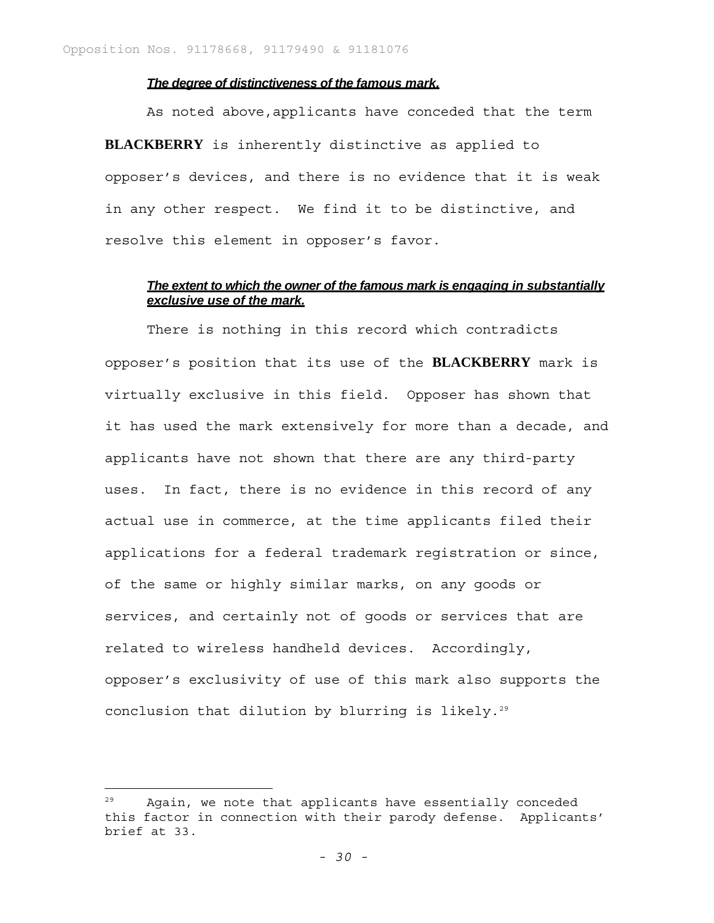#### *The degree of distinctiveness of the famous mark.*

As noted above, applicants have conceded that the term **BLACKBERRY** is inherently distinctive as applied to opposer's devices, and there is no evidence that it is weak in any other respect. We find it to be distinctive, and resolve this element in opposer's favor.

# *The extent to which the owner of the famous mark is engaging in substantially exclusive use of the mark.*

There is nothing in this record which contradicts opposer's position that its use of the **BLACKBERRY** mark is virtually exclusive in this field. Opposer has shown that it has used the mark extensively for more than a decade, and applicants have not shown that there are any third-party uses. In fact, there is no evidence in this record of any actual use in commerce, at the time applicants filed their applications for a federal trademark registration or since, of the same or highly similar marks, on any goods or services, and certainly not of goods or services that are related to wireless handheld devices. Accordingly, opposer's exclusivity of use of this mark also supports the conclusion that dilution by blurring is likely.<sup>29</sup>

i<br>L

Again, we note that applicants have essentially conceded this factor in connection with their parody defense. Applicants' brief at 33.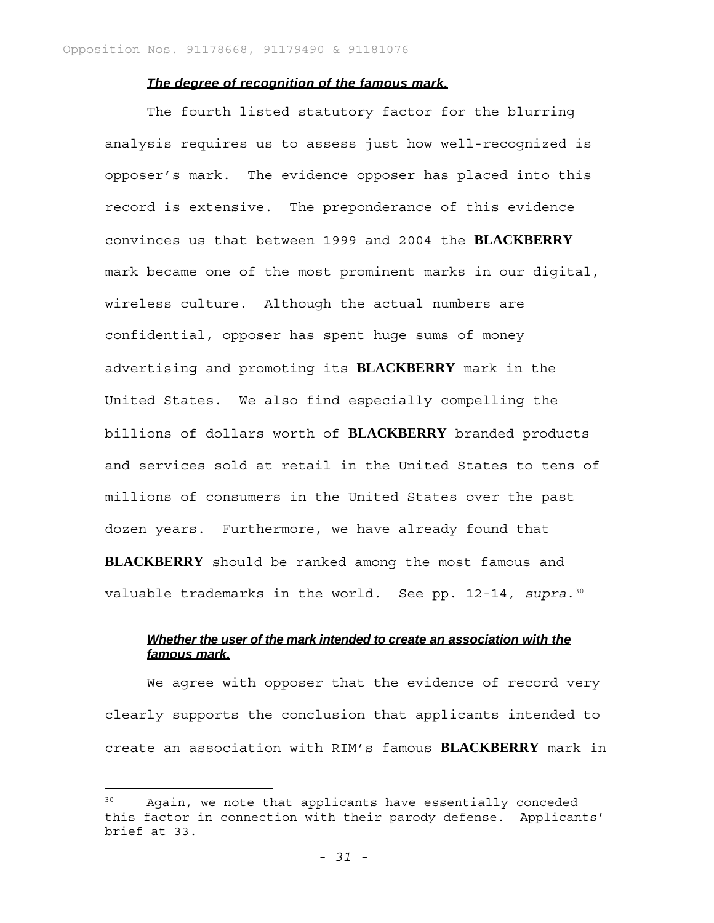# *The degree of recognition of the famous mark.*

The fourth listed statutory factor for the blurring analysis requires us to assess just how well-recognized is opposer's mark. The evidence opposer has placed into this record is extensive. The preponderance of this evidence convinces us that between 1999 and 2004 the **BLACKBERRY** mark became one of the most prominent marks in our digital, wireless culture. Although the actual numbers are confidential, opposer has spent huge sums of money advertising and promoting its **BLACKBERRY** mark in the United States. We also find especially compelling the billions of dollars worth of **BLACKBERRY** branded products and services sold at retail in the United States to tens of millions of consumers in the United States over the past dozen years. Furthermore, we have already found that **BLACKBERRY** should be ranked among the most famous and valuable trademarks in the world. See pp. 12-14, *supra*.30

# *Whether the user of the mark intended to create an association with the famous mark.*

We agree with opposer that the evidence of record very clearly supports the conclusion that applicants intended to create an association with RIM's famous **BLACKBERRY** mark in

i<br>L

Again, we note that applicants have essentially conceded this factor in connection with their parody defense. Applicants' brief at 33.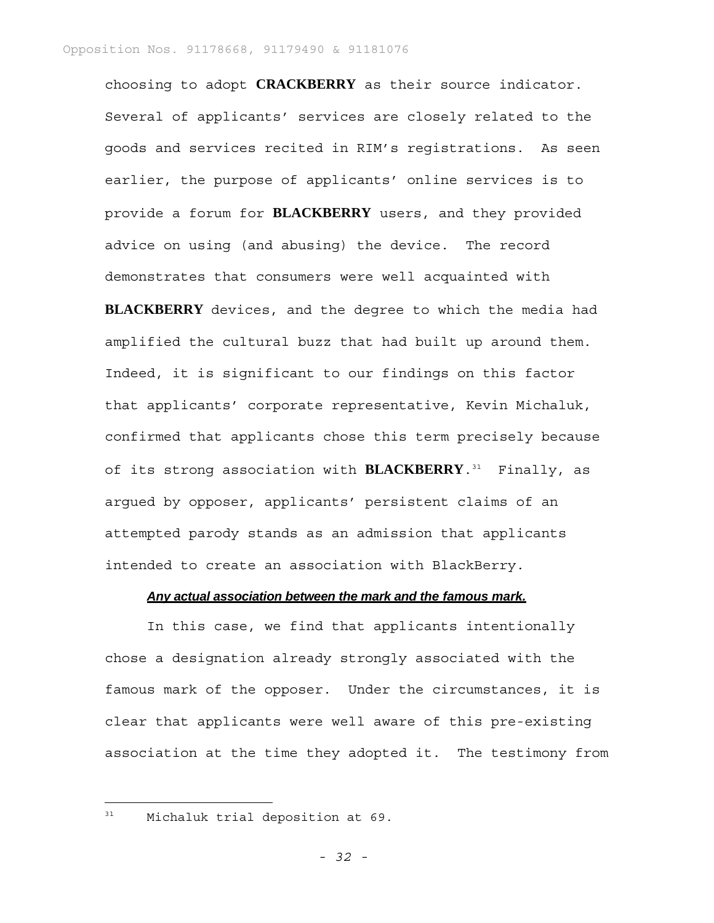choosing to adopt **CRACKBERRY** as their source indicator. Several of applicants' services are closely related to the goods and services recited in RIM's registrations. As seen earlier, the purpose of applicants' online services is to provide a forum for **BLACKBERRY** users, and they provided advice on using (and abusing) the device. The record demonstrates that consumers were well acquainted with

**BLACKBERRY** devices, and the degree to which the media had amplified the cultural buzz that had built up around them. Indeed, it is significant to our findings on this factor that applicants' corporate representative, Kevin Michaluk, confirmed that applicants chose this term precisely because of its strong association with **BLACKBERRY**.31 Finally, as argued by opposer, applicants' persistent claims of an attempted parody stands as an admission that applicants intended to create an association with BlackBerry.

#### *Any actual association between the mark and the famous mark.*

In this case, we find that applicants intentionally chose a designation already strongly associated with the famous mark of the opposer. Under the circumstances, it is clear that applicants were well aware of this pre-existing association at the time they adopted it. The testimony from

<sup>31</sup> Michaluk trial deposition at 69.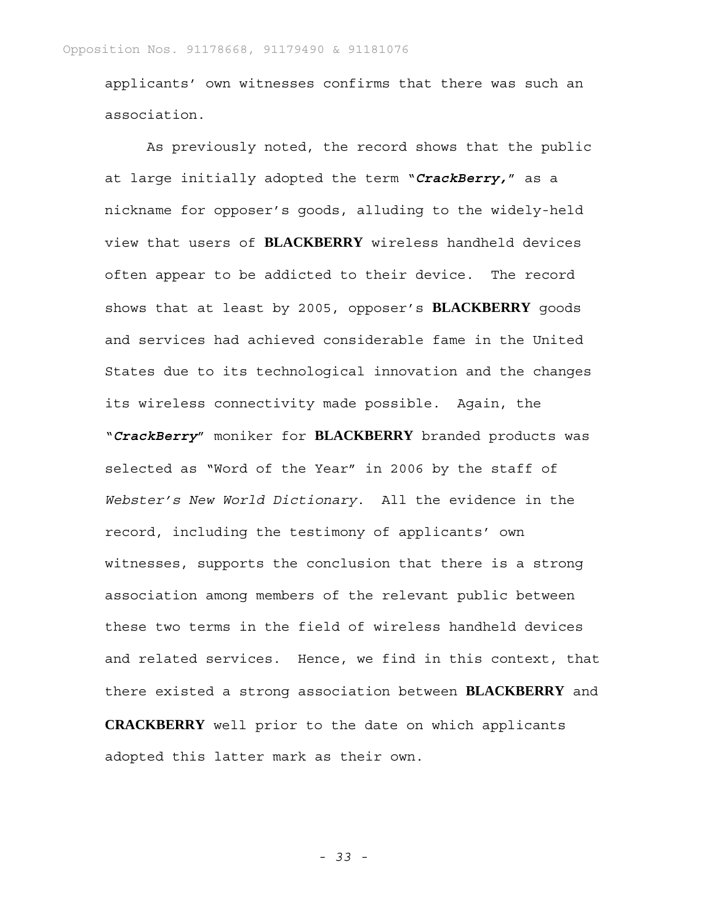applicants' own witnesses confirms that there was such an association.

As previously noted, the record shows that the public at large initially adopted the term "*CrackBerry,*" as a nickname for opposer's goods, alluding to the widely-held view that users of **BLACKBERRY** wireless handheld devices often appear to be addicted to their device. The record shows that at least by 2005, opposer's **BLACKBERRY** goods and services had achieved considerable fame in the United States due to its technological innovation and the changes its wireless connectivity made possible. Again, the "*CrackBerry*" moniker for **BLACKBERRY** branded products was selected as "Word of the Year" in 2006 by the staff of *Webster's New World Dictionary*. All the evidence in the record, including the testimony of applicants' own witnesses, supports the conclusion that there is a strong association among members of the relevant public between these two terms in the field of wireless handheld devices and related services. Hence, we find in this context, that there existed a strong association between **BLACKBERRY** and **CRACKBERRY** well prior to the date on which applicants adopted this latter mark as their own.

*- 33 -*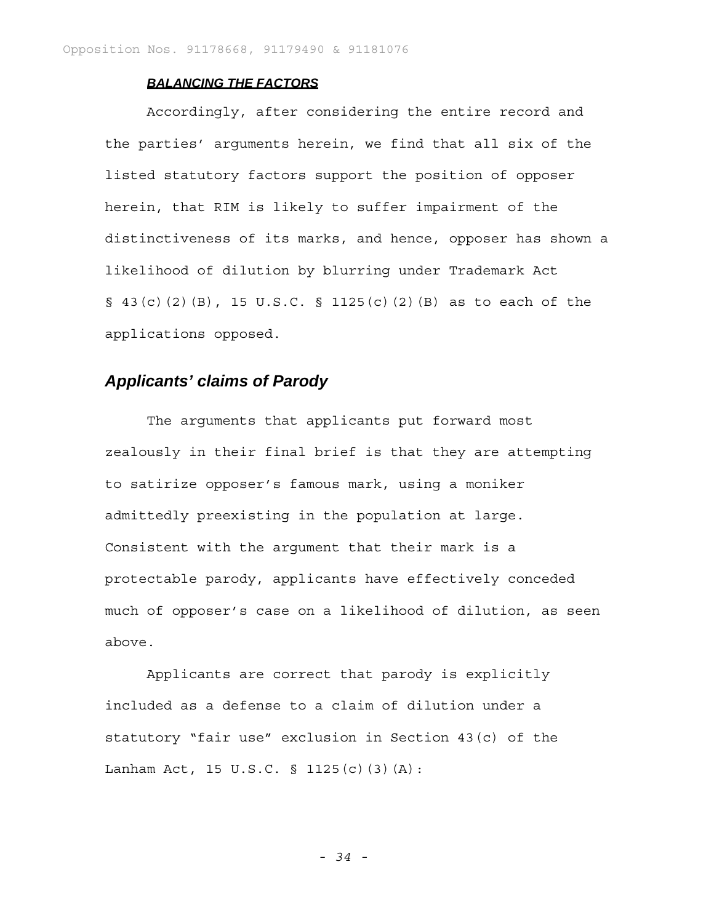### *BALANCING THE FACTORS*

Accordingly, after considering the entire record and the parties' arguments herein, we find that all six of the listed statutory factors support the position of opposer herein, that RIM is likely to suffer impairment of the distinctiveness of its marks, and hence, opposer has shown a likelihood of dilution by blurring under Trademark Act § 43(c)(2)(B), 15 U.S.C. § 1125(c)(2)(B) as to each of the applications opposed.

# *Applicants' claims of Parody*

The arguments that applicants put forward most zealously in their final brief is that they are attempting to satirize opposer's famous mark, using a moniker admittedly preexisting in the population at large. Consistent with the argument that their mark is a protectable parody, applicants have effectively conceded much of opposer's case on a likelihood of dilution, as seen above.

Applicants are correct that parody is explicitly included as a defense to a claim of dilution under a statutory "fair use" exclusion in Section 43(c) of the Lanham Act, 15 U.S.C. § 1125(c)(3)(A):

*- 34 -*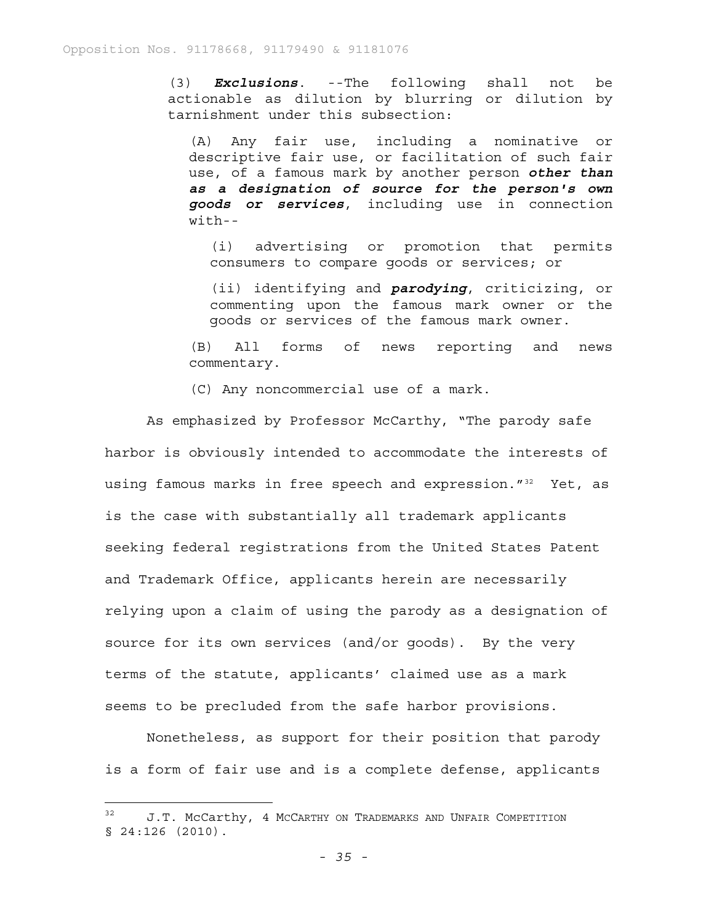(3) *Exclusions*. --The following shall not be actionable as dilution by blurring or dilution by tarnishment under this subsection:

(A) Any fair use, including a nominative or descriptive fair use, or facilitation of such fair use, of a famous mark by another person *other than as a designation of source for the person's own goods or services*, including use in connection with--

(i) advertising or promotion that permits consumers to compare goods or services; or

(ii) identifying and *parodying*, criticizing, or commenting upon the famous mark owner or the goods or services of the famous mark owner.

(B) All forms of news reporting and news commentary.

(C) Any noncommercial use of a mark.

As emphasized by Professor McCarthy, "The parody safe harbor is obviously intended to accommodate the interests of using famous marks in free speech and expression."<sup>32</sup> Yet, as is the case with substantially all trademark applicants seeking federal registrations from the United States Patent and Trademark Office, applicants herein are necessarily relying upon a claim of using the parody as a designation of source for its own services (and/or goods). By the very terms of the statute, applicants' claimed use as a mark seems to be precluded from the safe harbor provisions.

Nonetheless, as support for their position that parody is a form of fair use and is a complete defense, applicants

<sup>&</sup>lt;sup>32</sup> J.T. McCarthy, 4 McCarthy on Trademarks and Unfair Competition § 24:126 (2010).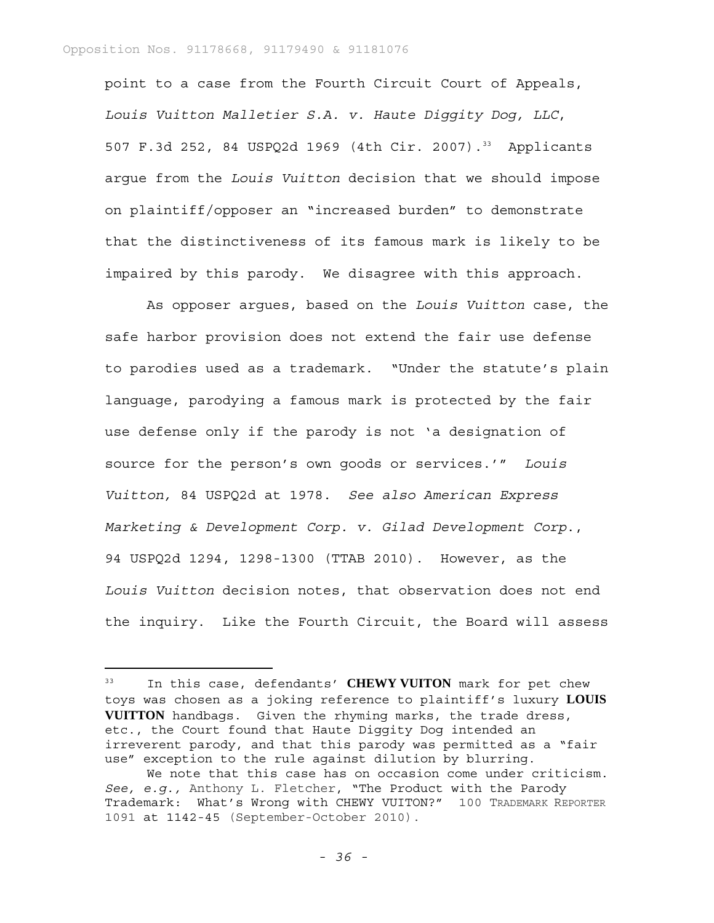point to a case from the Fourth Circuit Court of Appeals, *Louis Vuitton Malletier S.A. v. Haute Diggity Dog, LLC*, 507 F.3d 252, 84 USPQ2d 1969 (4th Cir. 2007).<sup>33</sup> Applicants argue from the *Louis Vuitton* decision that we should impose on plaintiff/opposer an "increased burden" to demonstrate that the distinctiveness of its famous mark is likely to be impaired by this parody. We disagree with this approach.

As opposer argues, based on the *Louis Vuitton* case, the safe harbor provision does not extend the fair use defense to parodies used as a trademark. "Under the statute's plain language, parodying a famous mark is protected by the fair use defense only if the parody is not 'a designation of source for the person's own goods or services.'" *Louis Vuitton,* 84 USPQ2d at 1978. *See also American Express Marketing & Development Corp. v. Gilad Development Corp*., 94 USPQ2d 1294, 1298-1300 (TTAB 2010). However, as the *Louis Vuitton* decision notes, that observation does not end the inquiry. Like the Fourth Circuit, the Board will assess

<sup>33</sup> In this case, defendants' **CHEWY VUITON** mark for pet chew toys was chosen as a joking reference to plaintiff's luxury **LOUIS VUITTON** handbags. Given the rhyming marks, the trade dress, etc., the Court found that Haute Diggity Dog intended an irreverent parody, and that this parody was permitted as a "fair use" exception to the rule against dilution by blurring.

We note that this case has on occasion come under criticism. *See, e.g.,* Anthony L. Fletcher, "The Product with the Parody Trademark: What's Wrong with CHEWY VUITON?" 100 TRADEMARK REPORTER 1091 at 1142-45 (September-October 2010).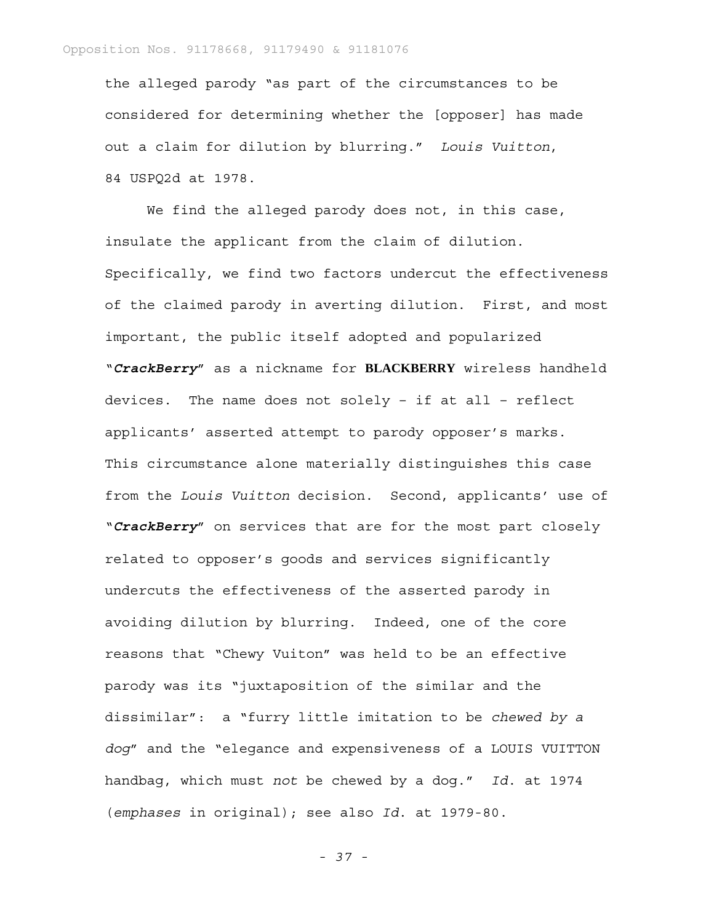the alleged parody "as part of the circumstances to be considered for determining whether the [opposer] has made out a claim for dilution by blurring." *Louis Vuitton*, 84 USPQ2d at 1978.

We find the alleged parody does not, in this case, insulate the applicant from the claim of dilution. Specifically, we find two factors undercut the effectiveness of the claimed parody in averting dilution. First, and most important, the public itself adopted and popularized "*CrackBerry*" as a nickname for **BLACKBERRY** wireless handheld devices. The name does not solely – if at all – reflect applicants' asserted attempt to parody opposer's marks. This circumstance alone materially distinguishes this case from the *Louis Vuitton* decision. Second, applicants' use of "*CrackBerry*" on services that are for the most part closely related to opposer's goods and services significantly undercuts the effectiveness of the asserted parody in avoiding dilution by blurring. Indeed, one of the core reasons that "Chewy Vuiton" was held to be an effective parody was its "juxtaposition of the similar and the dissimilar": a "furry little imitation to be *chewed by a dog*" and the "elegance and expensiveness of a LOUIS VUITTON handbag, which must *not* be chewed by a dog." *Id*. at 1974 (*emphases* in original); see also *Id*. at 1979-80.

*- 37 -*